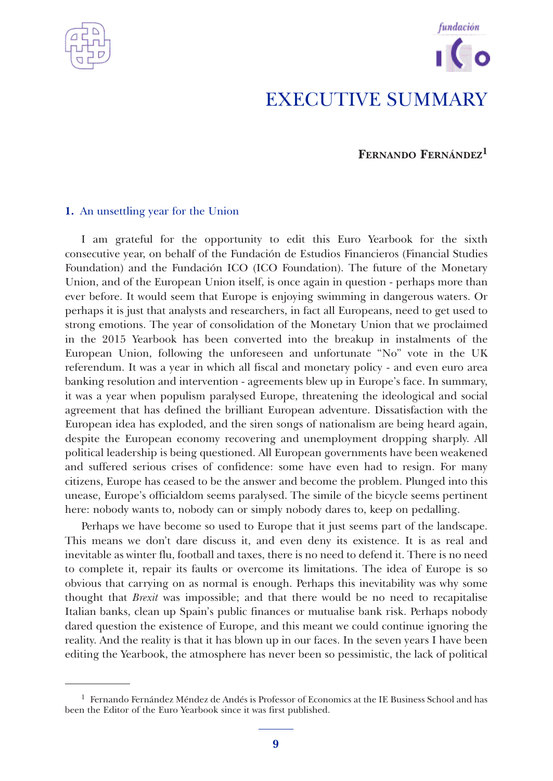



# **FERNANDO FERNÁNDEZ<sup>1</sup>**

### **1.** An unsettling year for the Union

I am grateful for the opportunity to edit this Euro Yearbook for the sixth consecutive year, on behalf of the Fundación de Estudios Financieros (Financial Studies Foundation) and the Fundación ICO (ICO Foundation). The future of the Monetary Union, and of the European Union itself, is once again in question - perhaps more than ever before. It would seem that Europe is enjoying swimming in dangerous waters. Or perhaps it is just that analysts and researchers, in fact all Europeans, need to get used to strong emotions. The year of consolidation of the Monetary Union that we proclaimed in the 2015 Yearbook has been converted into the breakup in instalments of the European Union, following the unforeseen and unfortunate "No" vote in the UK referendum. It was a year in which all fiscal and monetary policy - and even euro area banking resolution and intervention - agreements blew up in Europe's face. In summary, it was a year when populism paralysed Europe, threatening the ideological and social agreement that has defined the brilliant European adventure. Dissatisfaction with the European idea has exploded, and the siren songs of nationalism are being heard again, despite the European economy recovering and unemployment dropping sharply. All political leadership is being questioned. All European governments have been weakened and suffered serious crises of confidence: some have even had to resign. For many citizens, Europe has ceased to be the answer and become the problem. Plunged into this unease, Europe's officialdom seems paralysed. The simile of the bicycle seems pertinent here: nobody wants to, nobody can or simply nobody dares to, keep on pedalling.

Perhaps we have become so used to Europe that it just seems part of the landscape. This means we don't dare discuss it, and even deny its existence. It is as real and inevitable as winter flu, football and taxes, there is no need to defend it. There is no need to complete it, repair its faults or overcome its limitations. The idea of Europe is so obvious that carrying on as normal is enough. Perhaps this inevitability was why some thought that *Brexit* was impossible; and that there would be no need to recapitalise Italian banks, clean up Spain's public finances or mutualise bank risk. Perhaps nobody dared question the existence of Europe, and this meant we could continue ignoring the reality. And the reality is that it has blown up in our faces. In the seven years I have been editing the Yearbook, the atmosphere has never been so pessimistic, the lack of political

 $<sup>1</sup>$  Fernando Fernández Méndez de Andés is Professor of Economics at the IE Business School and has</sup> been the Editor of the Euro Yearbook since it was first published.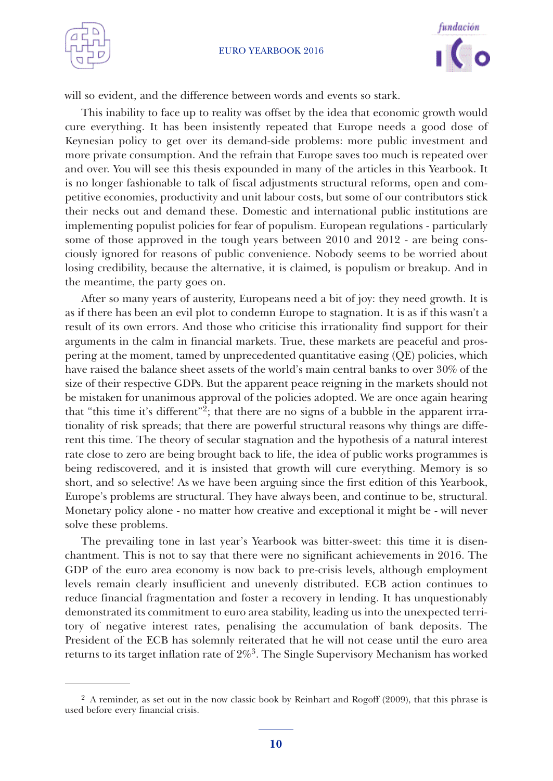



will so evident, and the difference between words and events so stark.

This inability to face up to reality was offset by the idea that economic growth would cure everything. It has been insistently repeated that Europe needs a good dose of Keynesian policy to get over its demand-side problems: more public investment and more private consumption. And the refrain that Europe saves too much is repeated over and over. You will see this thesis expounded in many of the articles in this Yearbook. It is no longer fashionable to talk of fiscal adjustments structural reforms, open and competitive economies, productivity and unit labour costs, but some of our contributors stick their necks out and demand these. Domestic and international public institutions are implementing populist policies for fear of populism. European regulations - particularly some of those approved in the tough years between 2010 and 2012 - are being consciously ignored for reasons of public convenience. Nobody seems to be worried about losing credibility, because the alternative, it is claimed, is populism or breakup. And in the meantime, the party goes on.

After so many years of austerity, Europeans need a bit of joy: they need growth. It is as if there has been an evil plot to condemn Europe to stagnation. It is as if this wasn't a result of its own errors. And those who criticise this irrationality find support for their arguments in the calm in financial markets. True, these markets are peaceful and prospering at the moment, tamed by unprecedented quantitative easing (QE) policies, which have raised the balance sheet assets of the world's main central banks to over 30% of the size of their respective GDPs. But the apparent peace reigning in the markets should not be mistaken for unanimous approval of the policies adopted. We are once again hearing that "this time it's different"2; that there are no signs of a bubble in the apparent irrationality of risk spreads; that there are powerful structural reasons why things are different this time. The theory of secular stagnation and the hypothesis of a natural interest rate close to zero are being brought back to life, the idea of public works programmes is being rediscovered, and it is insisted that growth will cure everything. Memory is so short, and so selective! As we have been arguing since the first edition of this Yearbook, Europe's problems are structural. They have always been, and continue to be, structural. Monetary policy alone - no matter how creative and exceptional it might be - will never solve these problems.

The prevailing tone in last year's Yearbook was bitter-sweet: this time it is disenchantment. This is not to say that there were no significant achievements in 2016. The GDP of the euro area economy is now back to pre-crisis levels, although employment levels remain clearly insufficient and unevenly distributed. ECB action continues to reduce financial fragmentation and foster a recovery in lending. It has unquestionably demonstrated its commitment to euro area stability, leading us into the unexpected territory of negative interest rates, penalising the accumulation of bank deposits. The President of the ECB has solemnly reiterated that he will not cease until the euro area returns to its target inflation rate of 2%3. The Single Supervisory Mechanism has worked

<sup>&</sup>lt;sup>2</sup> A reminder, as set out in the now classic book by Reinhart and Rogoff (2009), that this phrase is used before every financial crisis.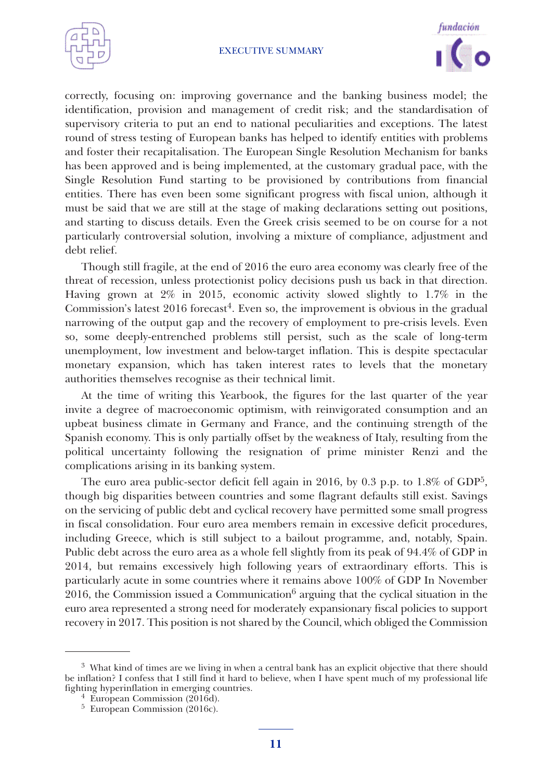



correctly, focusing on: improving governance and the banking business model; the identification, provision and management of credit risk; and the standardisation of supervisory criteria to put an end to national peculiarities and exceptions. The latest round of stress testing of European banks has helped to identify entities with problems and foster their recapitalisation. The European Single Resolution Mechanism for banks has been approved and is being implemented, at the customary gradual pace, with the Single Resolution Fund starting to be provisioned by contributions from financial entities. There has even been some significant progress with fiscal union, although it must be said that we are still at the stage of making declarations setting out positions, and starting to discuss details. Even the Greek crisis seemed to be on course for a not particularly controversial solution, involving a mixture of compliance, adjustment and debt relief.

Though still fragile, at the end of 2016 the euro area economy was clearly free of the threat of recession, unless protectionist policy decisions push us back in that direction. Having grown at 2% in 2015, economic activity slowed slightly to 1.7% in the Commission's latest 2016 forecast 4. Even so, the improvement is obvious in the gradual narrowing of the output gap and the recovery of employment to pre-crisis levels. Even so, some deeply-entrenched problems still persist, such as the scale of long-term unemployment, low investment and below-target inflation. This is despite spectacular monetary expansion, which has taken interest rates to levels that the monetary authorities themselves recognise as their technical limit.

At the time of writing this Yearbook, the figures for the last quarter of the year invite a degree of macroeconomic optimism, with reinvigorated consumption and an upbeat business climate in Germany and France, and the continuing strength of the Spanish economy. This is only partially offset by the weakness of Italy, resulting from the political uncertainty following the resignation of prime minister Renzi and the complications arising in its banking system.

The euro area public-sector deficit fell again in 2016, by 0.3 p.p. to 1.8% of GDP5, though big disparities between countries and some flagrant defaults still exist. Savings on the servicing of public debt and cyclical recovery have permitted some small progress in fiscal consolidation. Four euro area members remain in excessive deficit procedures, including Greece, which is still subject to a bailout programme, and, notably, Spain. Public debt across the euro area as a whole fell slightly from its peak of 94.4% of GDP in 2014, but remains excessively high following years of extraordinary efforts. This is particularly acute in some countries where it remains above 100% of GDP In November 2016, the Commission issued a Communication $6$  arguing that the cyclical situation in the euro area represented a strong need for moderately expansionary fiscal policies to support recovery in 2017. This position is not shared by the Council, which obliged the Commission

<sup>3</sup> What kind of times are we living in when a central bank has an explicit objective that there should be inflation? I confess that I still find it hard to believe, when I have spent much of my professional life fighting hyperinflation in emerging countries. <sup>4</sup> European Commission (2016d). <sup>5</sup> European Commission (2016c).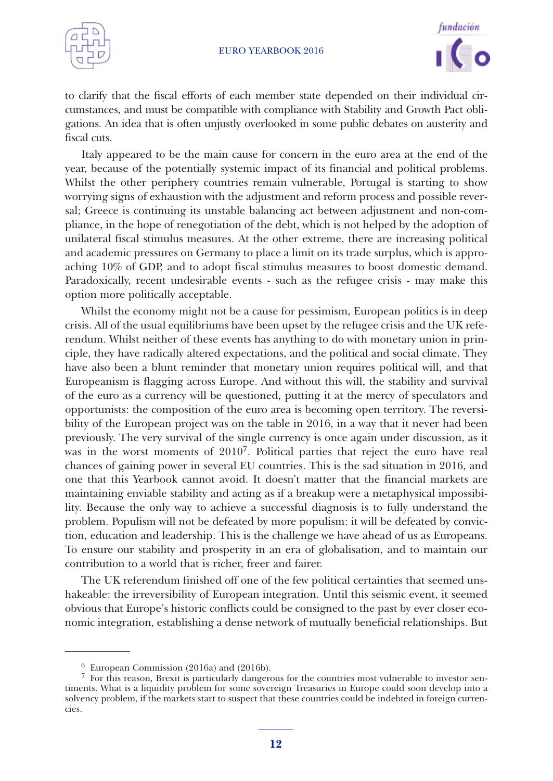



to clarify that the fiscal efforts of each member state depended on their individual circumstances, and must be compatible with compliance with Stability and Growth Pact obligations. An idea that is often unjustly overlooked in some public debates on austerity and fiscal cuts.

Italy appeared to be the main cause for concern in the euro area at the end of the year, because of the potentially systemic impact of its financial and political problems. Whilst the other periphery countries remain vulnerable, Portugal is starting to show worrying signs of exhaustion with the adjustment and reform process and possible reversal; Greece is continuing its unstable balancing act between adjustment and non-compliance, in the hope of renegotiation of the debt, which is not helped by the adoption of unilateral fiscal stimulus measures. At the other extreme, there are increasing political and academic pressures on Germany to place a limit on its trade surplus, which is approaching 10% of GDP, and to adopt fiscal stimulus measures to boost domestic demand. Paradoxically, recent undesirable events - such as the refugee crisis - may make this option more politically acceptable.

Whilst the economy might not be a cause for pessimism, European politics is in deep crisis. All of the usual equilibriums have been upset by the refugee crisis and the UK referendum. Whilst neither of these events has anything to do with monetary union in principle, they have radically altered expectations, and the political and social climate. They have also been a blunt reminder that monetary union requires political will, and that Europeanism is flagging across Europe. And without this will, the stability and survival of the euro as a currency will be questioned, putting it at the mercy of speculators and opportunists: the composition of the euro area is becoming open territory. The reversibility of the European project was on the table in 2016, in a way that it never had been previously. The very survival of the single currency is once again under discussion, as it was in the worst moments of  $2010^7$ . Political parties that reject the euro have real chances of gaining power in several EU countries. This is the sad situation in 2016, and one that this Yearbook cannot avoid. It doesn't matter that the financial markets are maintaining enviable stability and acting as if a breakup were a metaphysical impossibility. Because the only way to achieve a successful diagnosis is to fully understand the problem. Populism will not be defeated by more populism: it will be defeated by conviction, education and leadership. This is the challenge we have ahead of us as Europeans. To ensure our stability and prosperity in an era of globalisation, and to maintain our contribution to a world that is richer, freer and fairer.

The UK referendum finished off one of the few political certainties that seemed unshakeable: the irreversibility of European integration. Until this seismic event, it seemed obvious that Europe's historic conflicts could be consigned to the past by ever closer economic integration, establishing a dense network of mutually beneficial relationships. But

<sup>&</sup>lt;sup>6</sup> European Commission (2016a) and (2016b). <sup>7</sup> For this reason, Brexit is particularly dangerous for the countries most vulnerable to investor sentiments. What is a liquidity problem for some sovereign Treasuries in Europe could soon develop into a solvency problem, if the markets start to suspect that these countries could be indebted in foreign currencies.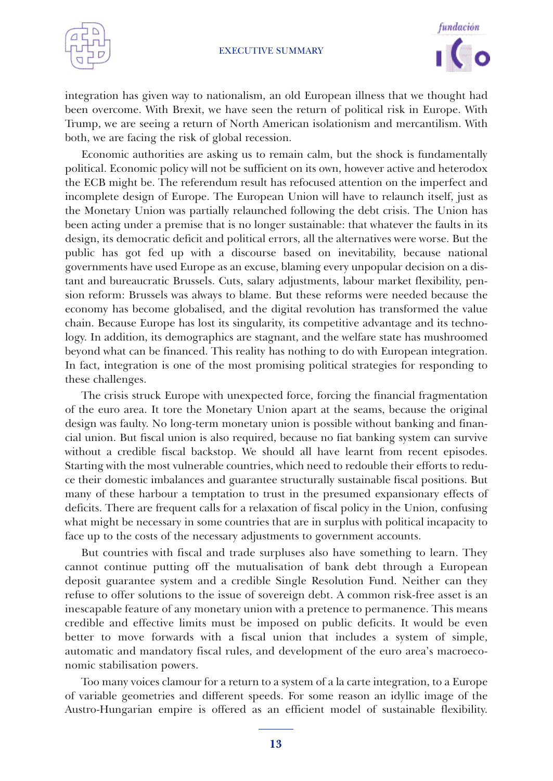



integration has given way to nationalism, an old European illness that we thought had been overcome. With Brexit, we have seen the return of political risk in Europe. With Trump, we are seeing a return of North American isolationism and mercantilism. With both, we are facing the risk of global recession.

Economic authorities are asking us to remain calm, but the shock is fundamentally political. Economic policy will not be sufficient on its own, however active and heterodox the ECB might be. The referendum result has refocused attention on the imperfect and incomplete design of Europe. The European Union will have to relaunch itself, just as the Monetary Union was partially relaunched following the debt crisis. The Union has been acting under a premise that is no longer sustainable: that whatever the faults in its design, its democratic deficit and political errors, all the alternatives were worse. But the public has got fed up with a discourse based on inevitability, because national governments have used Europe as an excuse, blaming every unpopular decision on a distant and bureaucratic Brussels. Cuts, salary adjustments, labour market flexibility, pension reform: Brussels was always to blame. But these reforms were needed because the economy has become globalised, and the digital revolution has transformed the value chain. Because Europe has lost its singularity, its competitive advantage and its technology. In addition, its demographics are stagnant, and the welfare state has mushroomed beyond what can be financed. This reality has nothing to do with European integration. In fact, integration is one of the most promising political strategies for responding to these challenges.

The crisis struck Europe with unexpected force, forcing the financial fragmentation of the euro area. It tore the Monetary Union apart at the seams, because the original design was faulty. No long-term monetary union is possible without banking and financial union. But fiscal union is also required, because no fiat banking system can survive without a credible fiscal backstop. We should all have learnt from recent episodes. Starting with the most vulnerable countries, which need to redouble their efforts to reduce their domestic imbalances and guarantee structurally sustainable fiscal positions. But many of these harbour a temptation to trust in the presumed expansionary effects of deficits. There are frequent calls for a relaxation of fiscal policy in the Union, confusing what might be necessary in some countries that are in surplus with political incapacity to face up to the costs of the necessary adjustments to government accounts.

But countries with fiscal and trade surpluses also have something to learn. They cannot continue putting off the mutualisation of bank debt through a European deposit guarantee system and a credible Single Resolution Fund. Neither can they refuse to offer solutions to the issue of sovereign debt. A common risk-free asset is an inescapable feature of any monetary union with a pretence to permanence. This means credible and effective limits must be imposed on public deficits. It would be even better to move forwards with a fiscal union that includes a system of simple, automatic and mandatory fiscal rules, and development of the euro area's macroeconomic stabilisation powers.

Too many voices clamour for a return to a system of a la carte integration, to a Europe of variable geometries and different speeds. For some reason an idyllic image of the Austro-Hungarian empire is offered as an efficient model of sustainable flexibility.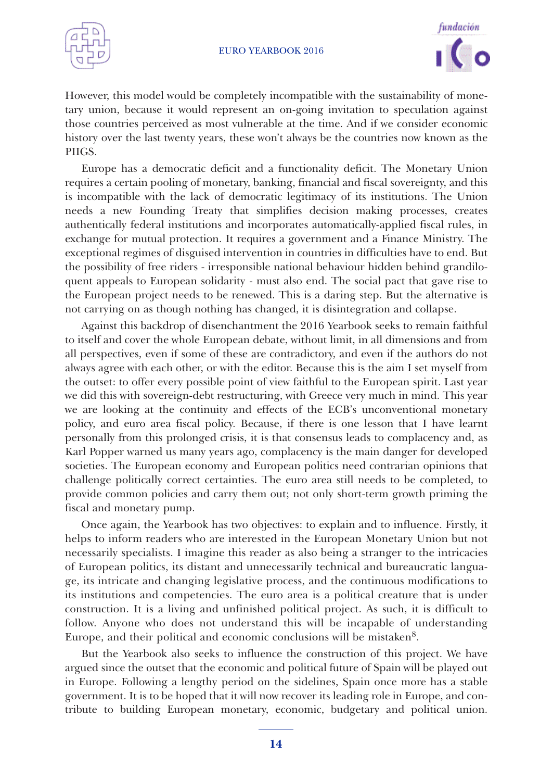



However, this model would be completely incompatible with the sustainability of monetary union, because it would represent an on-going invitation to speculation against those countries perceived as most vulnerable at the time. And if we consider economic history over the last twenty years, these won't always be the countries now known as the PIIGS.

Europe has a democratic deficit and a functionality deficit. The Monetary Union requires a certain pooling of monetary, banking, financial and fiscal sovereignty, and this is incompatible with the lack of democratic legitimacy of its institutions. The Union needs a new Founding Treaty that simplifies decision making processes, creates authentically federal institutions and incorporates automatically-applied fiscal rules, in exchange for mutual protection. It requires a government and a Finance Ministry. The exceptional regimes of disguised intervention in countries in difficulties have to end. But the possibility of free riders - irresponsible national behaviour hidden behind grandiloquent appeals to European solidarity - must also end. The social pact that gave rise to the European project needs to be renewed. This is a daring step. But the alternative is not carrying on as though nothing has changed, it is disintegration and collapse.

Against this backdrop of disenchantment the 2016 Yearbook seeks to remain faithful to itself and cover the whole European debate, without limit, in all dimensions and from all perspectives, even if some of these are contradictory, and even if the authors do not always agree with each other, or with the editor. Because this is the aim I set myself from the outset: to offer every possible point of view faithful to the European spirit. Last year we did this with sovereign-debt restructuring, with Greece very much in mind. This year we are looking at the continuity and effects of the ECB's unconventional monetary policy, and euro area fiscal policy. Because, if there is one lesson that I have learnt personally from this prolonged crisis, it is that consensus leads to complacency and, as Karl Popper warned us many years ago, complacency is the main danger for developed societies. The European economy and European politics need contrarian opinions that challenge politically correct certainties. The euro area still needs to be completed, to provide common policies and carry them out; not only short-term growth priming the fiscal and monetary pump.

Once again, the Yearbook has two objectives: to explain and to influence. Firstly, it helps to inform readers who are interested in the European Monetary Union but not necessarily specialists. I imagine this reader as also being a stranger to the intricacies of European politics, its distant and unnecessarily technical and bureaucratic language, its intricate and changing legislative process, and the continuous modifications to its institutions and competencies. The euro area is a political creature that is under construction. It is a living and unfinished political project. As such, it is difficult to follow. Anyone who does not understand this will be incapable of understanding Europe, and their political and economic conclusions will be mistaken<sup>8</sup>.

But the Yearbook also seeks to influence the construction of this project. We have argued since the outset that the economic and political future of Spain will be played out in Europe. Following a lengthy period on the sidelines, Spain once more has a stable government. It is to be hoped that it will now recover its leading role in Europe, and contribute to building European monetary, economic, budgetary and political union.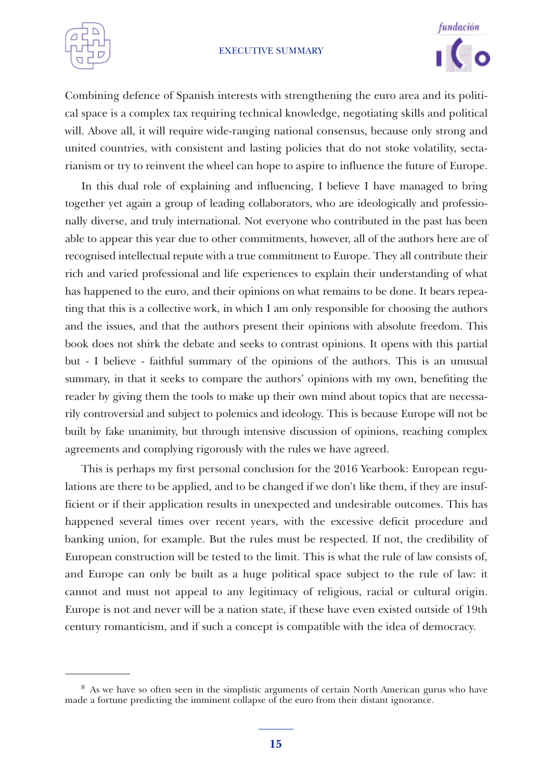



Combining defence of Spanish interests with strengthening the euro area and its political space is a complex tax requiring technical knowledge, negotiating skills and political will. Above all, it will require wide-ranging national consensus, because only strong and united countries, with consistent and lasting policies that do not stoke volatility, sectarianism or try to reinvent the wheel can hope to aspire to influence the future of Europe.

In this dual role of explaining and influencing, I believe I have managed to bring together yet again a group of leading collaborators, who are ideologically and professionally diverse, and truly international. Not everyone who contributed in the past has been able to appear this year due to other commitments, however, all of the authors here are of recognised intellectual repute with a true commitment to Europe. They all contribute their rich and varied professional and life experiences to explain their understanding of what has happened to the euro, and their opinions on what remains to be done. It bears repeating that this is a collective work, in which I am only responsible for choosing the authors and the issues, and that the authors present their opinions with absolute freedom. This book does not shirk the debate and seeks to contrast opinions. It opens with this partial but - I believe - faithful summary of the opinions of the authors. This is an unusual summary, in that it seeks to compare the authors' opinions with my own, benefiting the reader by giving them the tools to make up their own mind about topics that are necessarily controversial and subject to polemics and ideology. This is because Europe will not be built by fake unanimity, but through intensive discussion of opinions, reaching complex agreements and complying rigorously with the rules we have agreed.

This is perhaps my first personal conclusion for the 2016 Yearbook: European regulations are there to be applied, and to be changed if we don't like them, if they are insufficient or if their application results in unexpected and undesirable outcomes. This has happened several times over recent years, with the excessive deficit procedure and banking union, for example. But the rules must be respected. If not, the credibility of European construction will be tested to the limit. This is what the rule of law consists of, and Europe can only be built as a huge political space subject to the rule of law: it cannot and must not appeal to any legitimacy of religious, racial or cultural origin. Europe is not and never will be a nation state, if these have even existed outside of 19th century romanticism, and if such a concept is compatible with the idea of democracy.

<sup>8</sup> As we have so often seen in the simplistic arguments of certain North American gurus who have made a fortune predicting the imminent collapse of the euro from their distant ignorance.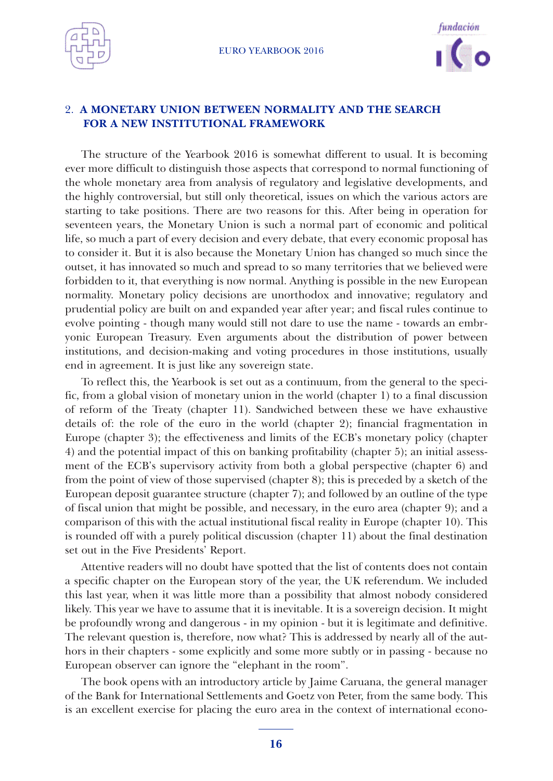



# 2. **A MONETARY UNION BETWEEN NORMALITY AND THE SEARCH FOR A NEW INSTITUTIONAL FRAMEWORK**

The structure of the Yearbook 2016 is somewhat different to usual. It is becoming ever more difficult to distinguish those aspects that correspond to normal functioning of the whole monetary area from analysis of regulatory and legislative developments, and the highly controversial, but still only theoretical, issues on which the various actors are starting to take positions. There are two reasons for this. After being in operation for seventeen years, the Monetary Union is such a normal part of economic and political life, so much a part of every decision and every debate, that every economic proposal has to consider it. But it is also because the Monetary Union has changed so much since the outset, it has innovated so much and spread to so many territories that we believed were forbidden to it, that everything is now normal. Anything is possible in the new European normality. Monetary policy decisions are unorthodox and innovative; regulatory and prudential policy are built on and expanded year after year; and fiscal rules continue to evolve pointing - though many would still not dare to use the name - towards an embryonic European Treasury. Even arguments about the distribution of power between institutions, and decision-making and voting procedures in those institutions, usually end in agreement. It is just like any sovereign state.

To reflect this, the Yearbook is set out as a continuum, from the general to the specific, from a global vision of monetary union in the world (chapter 1) to a final discussion of reform of the Treaty (chapter 11). Sandwiched between these we have exhaustive details of: the role of the euro in the world (chapter 2); financial fragmentation in Europe (chapter 3); the effectiveness and limits of the ECB's monetary policy (chapter 4) and the potential impact of this on banking profitability (chapter 5); an initial assessment of the ECB's supervisory activity from both a global perspective (chapter 6) and from the point of view of those supervised (chapter 8); this is preceded by a sketch of the European deposit guarantee structure (chapter 7); and followed by an outline of the type of fiscal union that might be possible, and necessary, in the euro area (chapter 9); and a comparison of this with the actual institutional fiscal reality in Europe (chapter 10). This is rounded off with a purely political discussion (chapter 11) about the final destination set out in the Five Presidents' Report.

Attentive readers will no doubt have spotted that the list of contents does not contain a specific chapter on the European story of the year, the UK referendum. We included this last year, when it was little more than a possibility that almost nobody considered likely. This year we have to assume that it is inevitable. It is a sovereign decision. It might be profoundly wrong and dangerous - in my opinion - but it is legitimate and definitive. The relevant question is, therefore, now what? This is addressed by nearly all of the authors in their chapters - some explicitly and some more subtly or in passing - because no European observer can ignore the "elephant in the room".

The book opens with an introductory article by Jaime Caruana, the general manager of the Bank for International Settlements and Goetz von Peter, from the same body. This is an excellent exercise for placing the euro area in the context of international econo-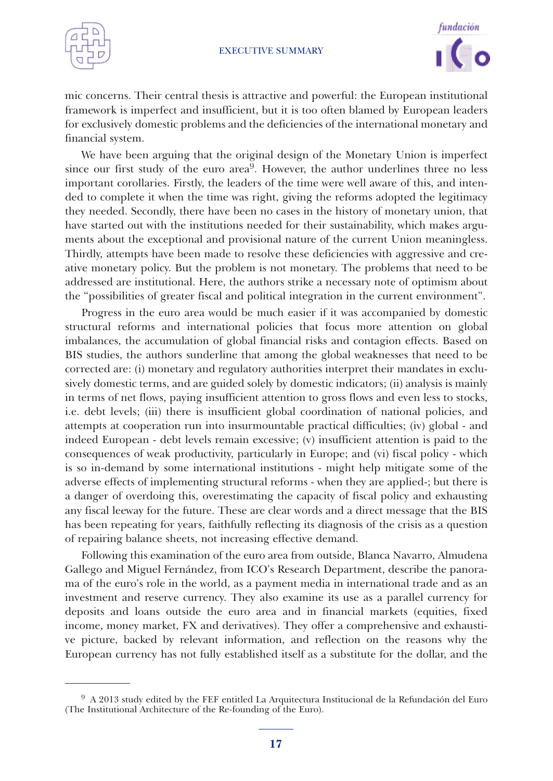



mic concerns. Their central thesis is attractive and powerful: the European institutional framework is imperfect and insufficient, but it is too often blamed by European leaders for exclusively domestic problems and the deficiencies of the international monetary and financial system.

We have been arguing that the original design of the Monetary Union is imperfect since our first study of the euro  $area<sup>9</sup>$ . However, the author underlines three no less important corollaries. Firstly, the leaders of the time were well aware of this, and intended to complete it when the time was right, giving the reforms adopted the legitimacy they needed. Secondly, there have been no cases in the history of monetary union, that have started out with the institutions needed for their sustainability, which makes arguments about the exceptional and provisional nature of the current Union meaningless. Thirdly, attempts have been made to resolve these deficiencies with aggressive and creative monetary policy. But the problem is not monetary. The problems that need to be addressed are institutional. Here, the authors strike a necessary note of optimism about the "possibilities of greater fiscal and political integration in the current environment".

Progress in the euro area would be much easier if it was accompanied by domestic structural reforms and international policies that focus more attention on global imbalances, the accumulation of global financial risks and contagion effects. Based on BIS studies, the authors sunderline that among the global weaknesses that need to be corrected are: (i) monetary and regulatory authorities interpret their mandates in exclusively domestic terms, and are guided solely by domestic indicators; (ii) analysis is mainly in terms of net flows, paying insufficient attention to gross flows and even less to stocks, i.e. debt levels; (iii) there is insufficient global coordination of national policies, and attempts at cooperation run into insurmountable practical difficulties; (iv) global - and indeed European - debt levels remain excessive; (v) insufficient attention is paid to the consequences of weak productivity, particularly in Europe; and (vi) fiscal policy - which is so in-demand by some international institutions - might help mitigate some of the adverse effects of implementing structural reforms - when they are applied-; but there is a danger of overdoing this, overestimating the capacity of fiscal policy and exhausting any fiscal leeway for the future. These are clear words and a direct message that the BIS has been repeating for years, faithfully reflecting its diagnosis of the crisis as a question of repairing balance sheets, not increasing effective demand.

Following this examination of the euro area from outside, Blanca Navarro, Almudena Gallego and Miguel Fernández, from ICO's Research Department, describe the panorama of the euro's role in the world, as a payment media in international trade and as an investment and reserve currency. They also examine its use as a parallel currency for deposits and loans outside the euro area and in financial markets (equities, fixed income, money market, FX and derivatives). They offer a comprehensive and exhaustive picture, backed by relevant information, and reflection on the reasons why the European currency has not fully established itself as a substitute for the dollar, and the

<sup>9</sup> A 2013 study edited by the FEF entitled La Arquitectura Institucional de la Refundación del Euro (The Institutional Architecture of the Re-founding of the Euro).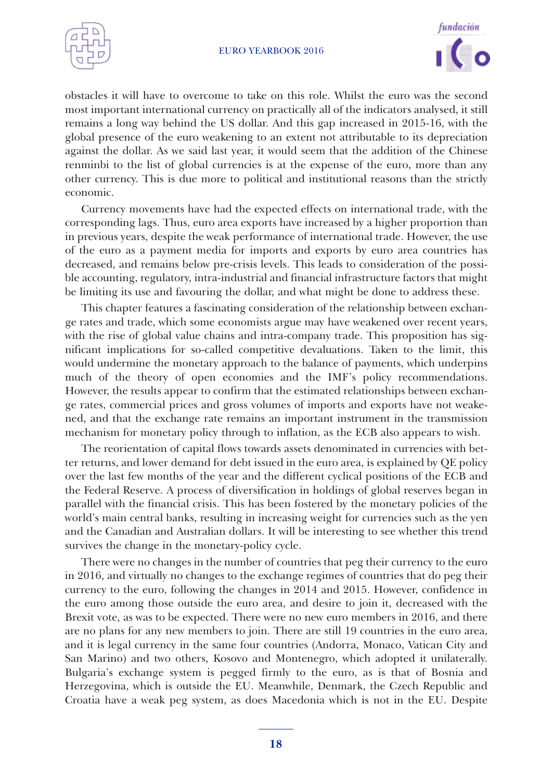



obstacles it will have to overcome to take on this role. Whilst the euro was the second most important international currency on practically all of the indicators analysed, it still remains a long way behind the US dollar. And this gap increased in 2015-16, with the global presence of the euro weakening to an extent not attributable to its depreciation against the dollar. As we said last year, it would seem that the addition of the Chinese renminbi to the list of global currencies is at the expense of the euro, more than any other currency. This is due more to political and institutional reasons than the strictly economic.

Currency movements have had the expected effects on international trade, with the corresponding lags. Thus, euro area exports have increased by a higher proportion than in previous years, despite the weak performance of international trade. However, the use of the euro as a payment media for imports and exports by euro area countries has decreased, and remains below pre-crisis levels. This leads to consideration of the possible accounting, regulatory, intra-industrial and financial infrastructure factors that might be limiting its use and favouring the dollar, and what might be done to address these.

This chapter features a fascinating consideration of the relationship between exchange rates and trade, which some economists argue may have weakened over recent years, with the rise of global value chains and intra-company trade. This proposition has significant implications for so-called competitive devaluations. Taken to the limit, this would undermine the monetary approach to the balance of payments, which underpins much of the theory of open economies and the IMF's policy recommendations. However, the results appear to confirm that the estimated relationships between exchange rates, commercial prices and gross volumes of imports and exports have not weakened, and that the exchange rate remains an important instrument in the transmission mechanism for monetary policy through to inflation, as the ECB also appears to wish.

The reorientation of capital flows towards assets denominated in currencies with better returns, and lower demand for debt issued in the euro area, is explained by QE policy over the last few months of the year and the different cyclical positions of the ECB and the Federal Reserve. A process of diversification in holdings of global reserves began in parallel with the financial crisis. This has been fostered by the monetary policies of the world's main central banks, resulting in increasing weight for currencies such as the yen and the Canadian and Australian dollars. It will be interesting to see whether this trend survives the change in the monetary-policy cycle.

There were no changes in the number of countries that peg their currency to the euro in 2016, and virtually no changes to the exchange regimes of countries that do peg their currency to the euro, following the changes in 2014 and 2015. However, confidence in the euro among those outside the euro area, and desire to join it, decreased with the Brexit vote, as was to be expected. There were no new euro members in 2016, and there are no plans for any new members to join. There are still 19 countries in the euro area, and it is legal currency in the same four countries (Andorra, Monaco, Vatican City and San Marino) and two others, Kosovo and Montenegro, which adopted it unilaterally. Bulgaria's exchange system is pegged firmly to the euro, as is that of Bosnia and Herzegovina, which is outside the EU. Meanwhile, Denmark, the Czech Republic and Croatia have a weak peg system, as does Macedonia which is not in the EU. Despite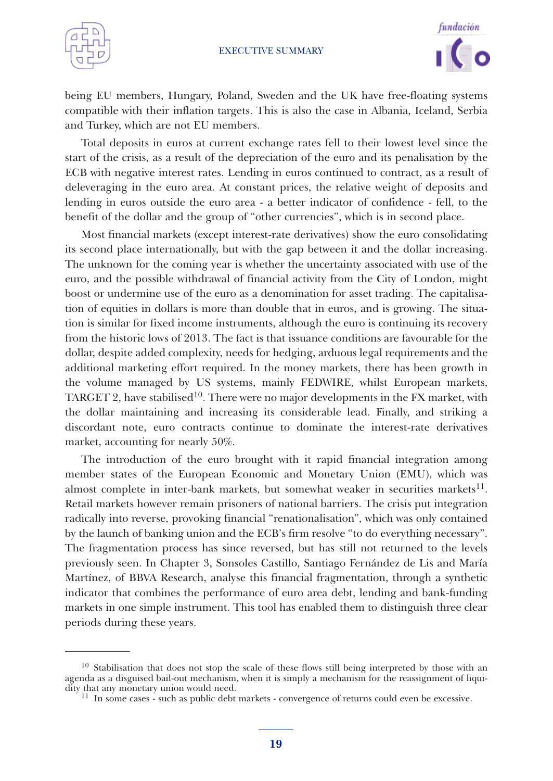



being EU members, Hungary, Poland, Sweden and the UK have free-floating systems compatible with their inflation targets. This is also the case in Albania, Iceland, Serbia and Turkey, which are not EU members.

Total deposits in euros at current exchange rates fell to their lowest level since the start of the crisis, as a result of the depreciation of the euro and its penalisation by the ECB with negative interest rates. Lending in euros continued to contract, as a result of deleveraging in the euro area. At constant prices, the relative weight of deposits and lending in euros outside the euro area - a better indicator of confidence - fell, to the benefit of the dollar and the group of "other currencies", which is in second place.

Most financial markets (except interest-rate derivatives) show the euro consolidating its second place internationally, but with the gap between it and the dollar increasing. The unknown for the coming year is whether the uncertainty associated with use of the euro, and the possible withdrawal of financial activity from the City of London, might boost or undermine use of the euro as a denomination for asset trading. The capitalisation of equities in dollars is more than double that in euros, and is growing. The situation is similar for fixed income instruments, although the euro is continuing its recovery from the historic lows of 2013. The fact is that issuance conditions are favourable for the dollar, despite added complexity, needs for hedging, arduous legal requirements and the additional marketing effort required. In the money markets, there has been growth in the volume managed by US systems, mainly FEDWIRE, whilst European markets, TARGET 2, have stabilised<sup>10</sup>. There were no major developments in the FX market, with the dollar maintaining and increasing its considerable lead. Finally, and striking a discordant note, euro contracts continue to dominate the interest-rate derivatives market, accounting for nearly 50%.

The introduction of the euro brought with it rapid financial integration among member states of the European Economic and Monetary Union (EMU), which was almost complete in inter-bank markets, but somewhat weaker in securities markets $^{11}$ . Retail markets however remain prisoners of national barriers. The crisis put integration radically into reverse, provoking financial "renationalisation", which was only contained by the launch of banking union and the ECB's firm resolve "to do everything necessary". The fragmentation process has since reversed, but has still not returned to the levels previously seen. In Chapter 3, Sonsoles Castillo, Santiago Fernández de Lis and María Martínez, of BBVA Research, analyse this financial fragmentation, through a synthetic indicator that combines the performance of euro area debt, lending and bank-funding markets in one simple instrument. This tool has enabled them to distinguish three clear periods during these years.

<sup>&</sup>lt;sup>10</sup> Stabilisation that does not stop the scale of these flows still being interpreted by those with an agenda as a disguised bail-out mechanism, when it is simply a mechanism for the reassignment of liqui-

 $11$  In some cases - such as public debt markets - convergence of returns could even be excessive.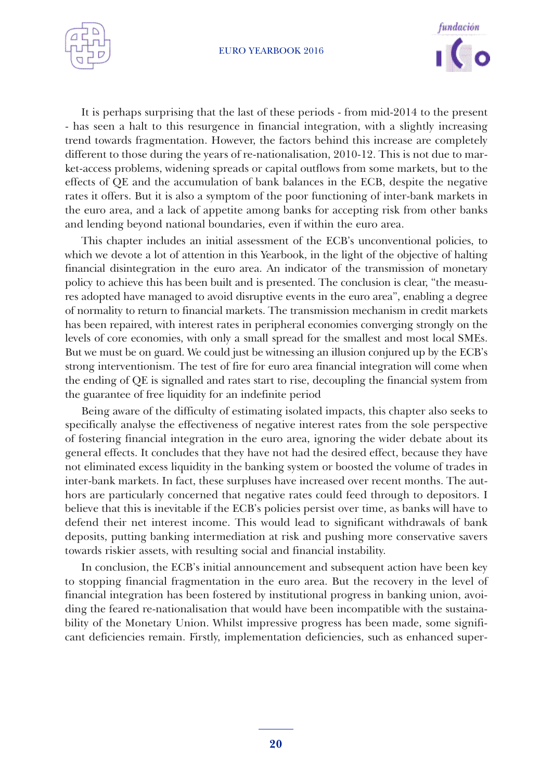



It is perhaps surprising that the last of these periods - from mid-2014 to the present - has seen a halt to this resurgence in financial integration, with a slightly increasing trend towards fragmentation. However, the factors behind this increase are completely different to those during the years of re-nationalisation, 2010-12. This is not due to market-access problems, widening spreads or capital outflows from some markets, but to the effects of QE and the accumulation of bank balances in the ECB, despite the negative rates it offers. But it is also a symptom of the poor functioning of inter-bank markets in the euro area, and a lack of appetite among banks for accepting risk from other banks and lending beyond national boundaries, even if within the euro area.

This chapter includes an initial assessment of the ECB's unconventional policies, to which we devote a lot of attention in this Yearbook, in the light of the objective of halting financial disintegration in the euro area. An indicator of the transmission of monetary policy to achieve this has been built and is presented. The conclusion is clear, "the measures adopted have managed to avoid disruptive events in the euro area", enabling a degree of normality to return to financial markets. The transmission mechanism in credit markets has been repaired, with interest rates in peripheral economies converging strongly on the levels of core economies, with only a small spread for the smallest and most local SMEs. But we must be on guard. We could just be witnessing an illusion conjured up by the ECB's strong interventionism. The test of fire for euro area financial integration will come when the ending of QE is signalled and rates start to rise, decoupling the financial system from the guarantee of free liquidity for an indefinite period

Being aware of the difficulty of estimating isolated impacts, this chapter also seeks to specifically analyse the effectiveness of negative interest rates from the sole perspective of fostering financial integration in the euro area, ignoring the wider debate about its general effects. It concludes that they have not had the desired effect, because they have not eliminated excess liquidity in the banking system or boosted the volume of trades in inter-bank markets. In fact, these surpluses have increased over recent months. The authors are particularly concerned that negative rates could feed through to depositors. I believe that this is inevitable if the ECB's policies persist over time, as banks will have to defend their net interest income. This would lead to significant withdrawals of bank deposits, putting banking intermediation at risk and pushing more conservative savers towards riskier assets, with resulting social and financial instability.

In conclusion, the ECB's initial announcement and subsequent action have been key to stopping financial fragmentation in the euro area. But the recovery in the level of financial integration has been fostered by institutional progress in banking union, avoiding the feared re-nationalisation that would have been incompatible with the sustainability of the Monetary Union. Whilst impressive progress has been made, some significant deficiencies remain. Firstly, implementation deficiencies, such as enhanced super-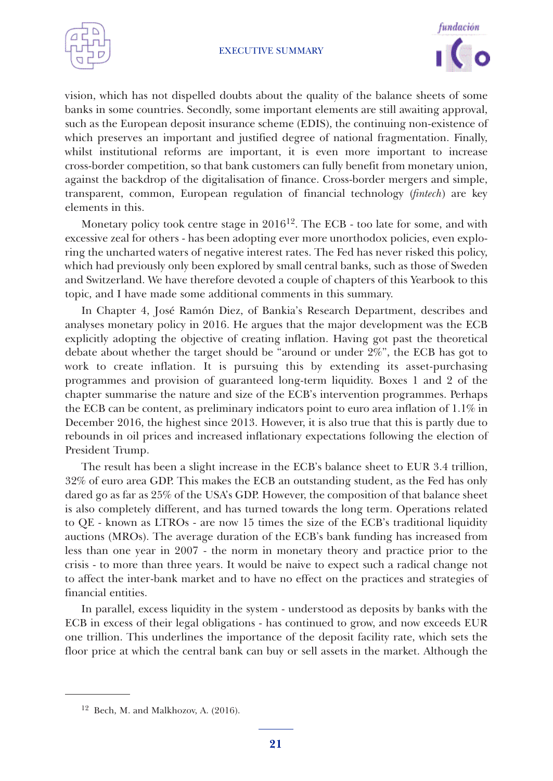



vision, which has not dispelled doubts about the quality of the balance sheets of some banks in some countries. Secondly, some important elements are still awaiting approval, such as the European deposit insurance scheme (EDIS), the continuing non-existence of which preserves an important and justified degree of national fragmentation. Finally, whilst institutional reforms are important, it is even more important to increase cross-border competition, so that bank customers can fully benefit from monetary union, against the backdrop of the digitalisation of finance. Cross-border mergers and simple, transparent, common, European regulation of financial technology (*fintech*) are key elements in this.

Monetary policy took centre stage in 201612. The ECB - too late for some, and with excessive zeal for others - has been adopting ever more unorthodox policies, even exploring the uncharted waters of negative interest rates. The Fed has never risked this policy, which had previously only been explored by small central banks, such as those of Sweden and Switzerland. We have therefore devoted a couple of chapters of this Yearbook to this topic, and I have made some additional comments in this summary.

In Chapter 4, José Ramón Diez, of Bankia's Research Department, describes and analyses monetary policy in 2016. He argues that the major development was the ECB explicitly adopting the objective of creating inflation. Having got past the theoretical debate about whether the target should be "around or under 2%", the ECB has got to work to create inflation. It is pursuing this by extending its asset-purchasing programmes and provision of guaranteed long-term liquidity. Boxes 1 and 2 of the chapter summarise the nature and size of the ECB's intervention programmes. Perhaps the ECB can be content, as preliminary indicators point to euro area inflation of 1.1% in December 2016, the highest since 2013. However, it is also true that this is partly due to rebounds in oil prices and increased inflationary expectations following the election of President Trump.

The result has been a slight increase in the ECB's balance sheet to EUR 3.4 trillion, 32% of euro area GDP. This makes the ECB an outstanding student, as the Fed has only dared go as far as 25% of the USA's GDP. However, the composition of that balance sheet is also completely different, and has turned towards the long term. Operations related to QE - known as LTROs - are now 15 times the size of the ECB's traditional liquidity auctions (MROs). The average duration of the ECB's bank funding has increased from less than one year in 2007 - the norm in monetary theory and practice prior to the crisis - to more than three years. It would be naive to expect such a radical change not to affect the inter-bank market and to have no effect on the practices and strategies of financial entities.

In parallel, excess liquidity in the system - understood as deposits by banks with the ECB in excess of their legal obligations - has continued to grow, and now exceeds EUR one trillion. This underlines the importance of the deposit facility rate, which sets the floor price at which the central bank can buy or sell assets in the market. Although the

<sup>12</sup> Bech, M. and Malkhozov, A. (2016).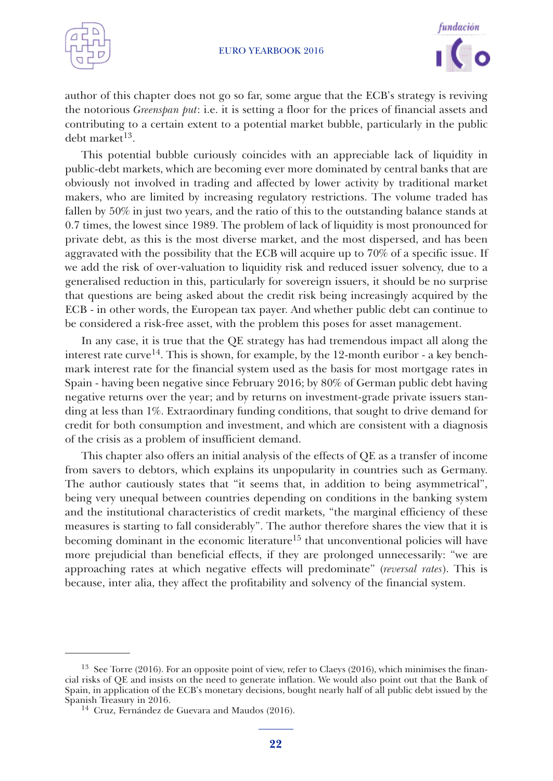



author of this chapter does not go so far, some argue that the ECB's strategy is reviving the notorious *Greenspan put*: i.e. it is setting a floor for the prices of financial assets and contributing to a certain extent to a potential market bubble, particularly in the public debt market 13.

This potential bubble curiously coincides with an appreciable lack of liquidity in public-debt markets, which are becoming ever more dominated by central banks that are obviously not involved in trading and affected by lower activity by traditional market makers, who are limited by increasing regulatory restrictions. The volume traded has fallen by 50% in just two years, and the ratio of this to the outstanding balance stands at 0.7 times, the lowest since 1989. The problem of lack of liquidity is most pronounced for private debt, as this is the most diverse market, and the most dispersed, and has been aggravated with the possibility that the ECB will acquire up to 70% of a specific issue. If we add the risk of over-valuation to liquidity risk and reduced issuer solvency, due to a generalised reduction in this, particularly for sovereign issuers, it should be no surprise that questions are being asked about the credit risk being increasingly acquired by the ECB - in other words, the European tax payer. And whether public debt can continue to be considered a risk-free asset, with the problem this poses for asset management.

In any case, it is true that the QE strategy has had tremendous impact all along the interest rate curve<sup>14</sup>. This is shown, for example, by the 12-month euribor - a key benchmark interest rate for the financial system used as the basis for most mortgage rates in Spain - having been negative since February 2016; by 80% of German public debt having negative returns over the year; and by returns on investment-grade private issuers standing at less than 1%. Extraordinary funding conditions, that sought to drive demand for credit for both consumption and investment, and which are consistent with a diagnosis of the crisis as a problem of insufficient demand.

This chapter also offers an initial analysis of the effects of QE as a transfer of income from savers to debtors, which explains its unpopularity in countries such as Germany. The author cautiously states that "it seems that, in addition to being asymmetrical", being very unequal between countries depending on conditions in the banking system and the institutional characteristics of credit markets, "the marginal efficiency of these measures is starting to fall considerably". The author therefore shares the view that it is becoming dominant in the economic literature<sup>15</sup> that unconventional policies will have more prejudicial than beneficial effects, if they are prolonged unnecessarily: "we are approaching rates at which negative effects will predominate" (*reversal rates*). This is because, inter alia, they affect the profitability and solvency of the financial system.

<sup>&</sup>lt;sup>13</sup> See Torre (2016). For an opposite point of view, refer to Claeys (2016), which minimises the financial risks of QE and insists on the need to generate inflation. We would also point out that the Bank of Spain, in application of the ECB's monetary decisions, bought nearly half of all public debt issued by the

 $14$  Cruz, Fernández de Guevara and Maudos (2016).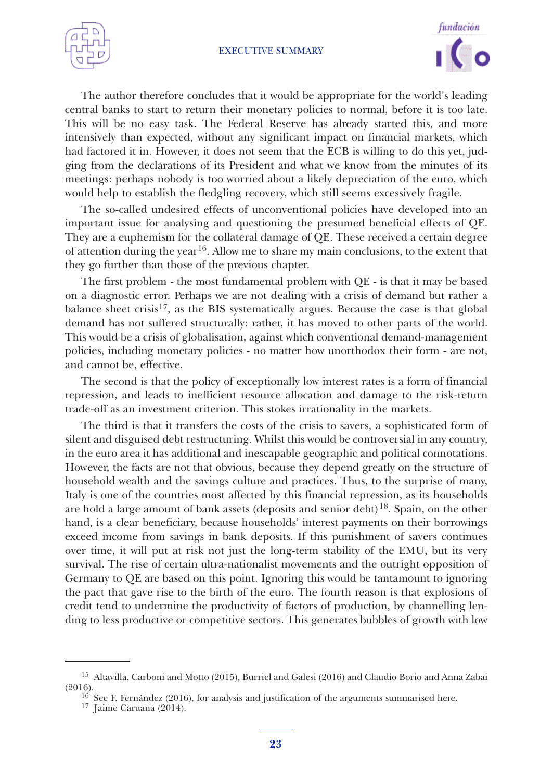



The author therefore concludes that it would be appropriate for the world's leading central banks to start to return their monetary policies to normal, before it is too late. This will be no easy task. The Federal Reserve has already started this, and more intensively than expected, without any significant impact on financial markets, which had factored it in. However, it does not seem that the ECB is willing to do this yet, judging from the declarations of its President and what we know from the minutes of its meetings: perhaps nobody is too worried about a likely depreciation of the euro, which would help to establish the fledgling recovery, which still seems excessively fragile.

The so-called undesired effects of unconventional policies have developed into an important issue for analysing and questioning the presumed beneficial effects of QE. They are a euphemism for the collateral damage of QE. These received a certain degree of attention during the year<sup>16</sup>. Allow me to share my main conclusions, to the extent that they go further than those of the previous chapter.

The first problem - the most fundamental problem with QE - is that it may be based on a diagnostic error. Perhaps we are not dealing with a crisis of demand but rather a balance sheet crisis<sup>17</sup>, as the BIS systematically argues. Because the case is that global demand has not suffered structurally: rather, it has moved to other parts of the world. This would be a crisis of globalisation, against which conventional demand-management policies, including monetary policies - no matter how unorthodox their form - are not, and cannot be, effective.

The second is that the policy of exceptionally low interest rates is a form of financial repression, and leads to inefficient resource allocation and damage to the risk-return trade-off as an investment criterion. This stokes irrationality in the markets.

The third is that it transfers the costs of the crisis to savers, a sophisticated form of silent and disguised debt restructuring. Whilst this would be controversial in any country, in the euro area it has additional and inescapable geographic and political connotations. However, the facts are not that obvious, because they depend greatly on the structure of household wealth and the savings culture and practices. Thus, to the surprise of many, Italy is one of the countries most affected by this financial repression, as its households are hold a large amount of bank assets (deposits and senior debt) 18. Spain, on the other hand, is a clear beneficiary, because households' interest payments on their borrowings exceed income from savings in bank deposits. If this punishment of savers continues over time, it will put at risk not just the long-term stability of the EMU, but its very survival. The rise of certain ultra-nationalist movements and the outright opposition of Germany to QE are based on this point. Ignoring this would be tantamount to ignoring the pact that gave rise to the birth of the euro. The fourth reason is that explosions of credit tend to undermine the productivity of factors of production, by channelling lending to less productive or competitive sectors. This generates bubbles of growth with low

<sup>15</sup> Altavilla, Carboni and Motto (2015), Burriel and Galesi (2016) and Claudio Borio and Anna Zabai

 $16$  See F. Fernández (2016), for analysis and justification of the arguments summarised here. 17 Jaime Caruana (2014).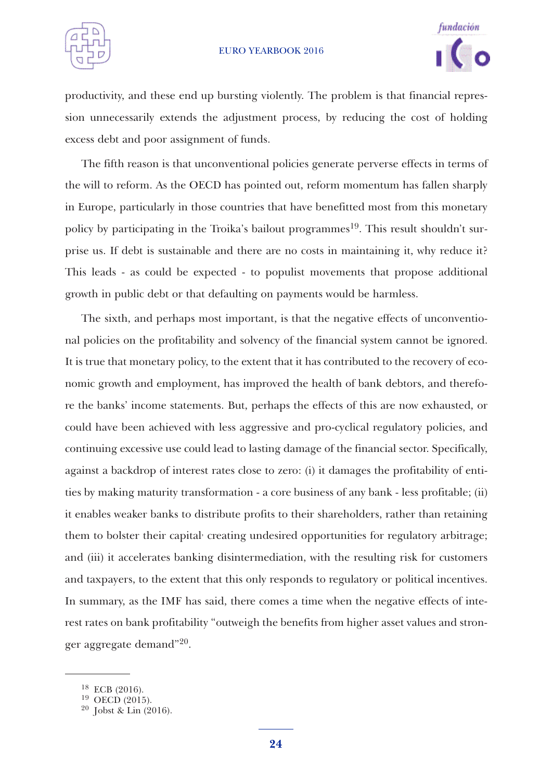



productivity, and these end up bursting violently. The problem is that financial repression unnecessarily extends the adjustment process, by reducing the cost of holding excess debt and poor assignment of funds.

The fifth reason is that unconventional policies generate perverse effects in terms of the will to reform. As the OECD has pointed out, reform momentum has fallen sharply in Europe, particularly in those countries that have benefitted most from this monetary policy by participating in the Troika's bailout programmes<sup>19</sup>. This result shouldn't surprise us. If debt is sustainable and there are no costs in maintaining it, why reduce it? This leads - as could be expected - to populist movements that propose additional growth in public debt or that defaulting on payments would be harmless.

The sixth, and perhaps most important, is that the negative effects of unconventional policies on the profitability and solvency of the financial system cannot be ignored. It is true that monetary policy, to the extent that it has contributed to the recovery of economic growth and employment, has improved the health of bank debtors, and therefore the banks' income statements. But, perhaps the effects of this are now exhausted, or could have been achieved with less aggressive and pro-cyclical regulatory policies, and continuing excessive use could lead to lasting damage of the financial sector. Specifically, against a backdrop of interest rates close to zero: (i) it damages the profitability of entities by making maturity transformation - a core business of any bank - less profitable; (ii) it enables weaker banks to distribute profits to their shareholders, rather than retaining them to bolster their capital<sup>,</sup> creating undesired opportunities for regulatory arbitrage; and (iii) it accelerates banking disintermediation, with the resulting risk for customers and taxpayers, to the extent that this only responds to regulatory or political incentives. In summary, as the IMF has said, there comes a time when the negative effects of interest rates on bank profitability "outweigh the benefits from higher asset values and stronger aggregate demand"20.

<sup>&</sup>lt;sup>18</sup> ECB (2016).<br><sup>19</sup> OECD (2015).<br><sup>20</sup> Jobst & Lin (2016).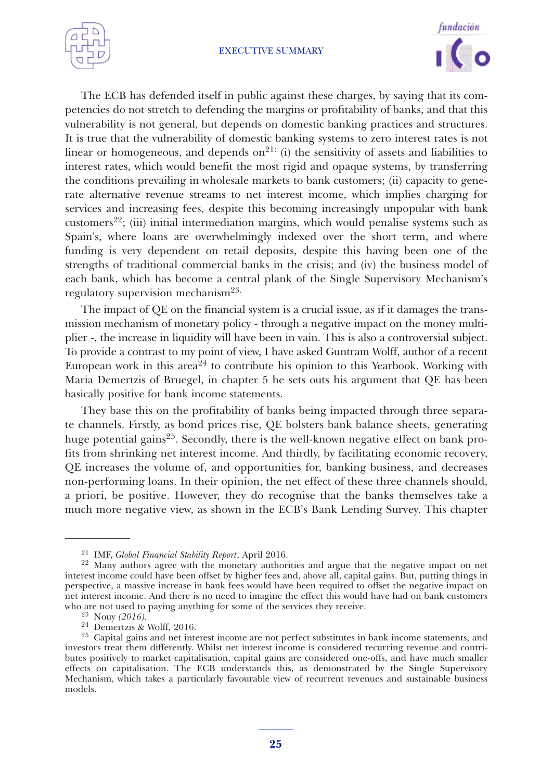



The ECB has defended itself in public against these charges, by saying that its competencies do not stretch to defending the margins or profitability of banks, and that this vulnerability is not general, but depends on domestic banking practices and structures. It is true that the vulnerability of domestic banking systems to zero interest rates is not linear or homogeneous, and depends on<sup>21:</sup> (i) the sensitivity of assets and liabilities to interest rates, which would benefit the most rigid and opaque systems, by transferring the conditions prevailing in wholesale markets to bank customers; (ii) capacity to generate alternative revenue streams to net interest income, which implies charging for services and increasing fees, despite this becoming increasingly unpopular with bank customers<sup>22</sup>; (iii) initial intermediation margins, which would penalise systems such as Spain's, where loans are overwhelmingly indexed over the short term, and where funding is very dependent on retail deposits, despite this having been one of the strengths of traditional commercial banks in the crisis; and (iv) the business model of each bank, which has become a central plank of the Single Supervisory Mechanism's regulatory supervision mechanism<sup>23.</sup>

The impact of QE on the financial system is a crucial issue, as if it damages the transmission mechanism of monetary policy - through a negative impact on the money multiplier -, the increase in liquidity will have been in vain. This is also a controversial subject. To provide a contrast to my point of view, I have asked Guntram Wolff, author of a recent European work in this area<sup>24</sup> to contribute his opinion to this Yearbook. Working with Maria Demertzis of Bruegel, in chapter 5 he sets outs his argument that QE has been basically positive for bank income statements.

They base this on the profitability of banks being impacted through three separate channels. Firstly, as bond prices rise, QE bolsters bank balance sheets, generating huge potential gains<sup>25</sup>. Secondly, there is the well-known negative effect on bank profits from shrinking net interest income. And thirdly, by facilitating economic recovery, QE increases the volume of, and opportunities for, banking business, and decreases non-performing loans. In their opinion, the net effect of these three channels should, a priori, be positive. However, they do recognise that the banks themselves take a much more negative view, as shown in the ECB's Bank Lending Survey. This chapter

<sup>21</sup> IMF, *Global Financial Stability Report*, April 2016. <sup>22</sup> Many authors agree with the monetary authorities and argue that the negative impact on net interest income could have been offset by higher fees and, above all, capital gains. But, putting things in perspective, a massive increase in bank fees would have been required to offset the negative impact on net interest income. And there is no need to imagine the effect this would have had on bank customers

<sup>&</sup>lt;sup>23</sup> Nouy (2016).<br><sup>24</sup> Demertzis & Wolff, 2016.<br><sup>25</sup> Capital gains and net interest income are not perfect substitutes in bank income statements, and investors treat them differently. Whilst net interest income is considered recurring revenue and contributes positively to market capitalisation, capital gains are considered one-offs, and have much smaller effects on capitalisation. The ECB understands this, as demonstrated by the Single Supervisory Mechanism, which takes a particularly favourable view of recurrent revenues and sustainable business models.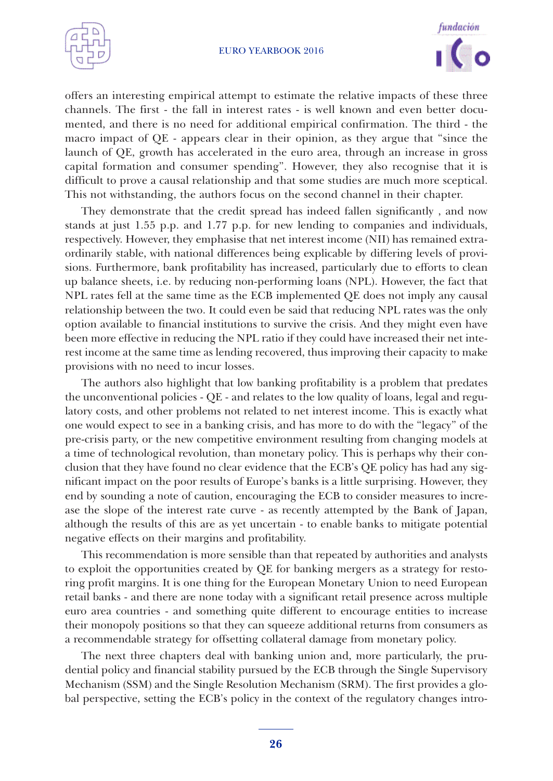



offers an interesting empirical attempt to estimate the relative impacts of these three channels. The first - the fall in interest rates - is well known and even better documented, and there is no need for additional empirical confirmation. The third - the macro impact of QE - appears clear in their opinion, as they argue that "since the launch of QE, growth has accelerated in the euro area, through an increase in gross capital formation and consumer spending". However, they also recognise that it is difficult to prove a causal relationship and that some studies are much more sceptical. This not withstanding, the authors focus on the second channel in their chapter.

They demonstrate that the credit spread has indeed fallen significantly , and now stands at just 1.55 p.p. and 1.77 p.p. for new lending to companies and individuals, respectively. However, they emphasise that net interest income (NII) has remained extraordinarily stable, with national differences being explicable by differing levels of provisions. Furthermore, bank profitability has increased, particularly due to efforts to clean up balance sheets, i.e. by reducing non-performing loans (NPL). However, the fact that NPL rates fell at the same time as the ECB implemented QE does not imply any causal relationship between the two. It could even be said that reducing NPL rates was the only option available to financial institutions to survive the crisis. And they might even have been more effective in reducing the NPL ratio if they could have increased their net interest income at the same time as lending recovered, thus improving their capacity to make provisions with no need to incur losses.

The authors also highlight that low banking profitability is a problem that predates the unconventional policies - QE - and relates to the low quality of loans, legal and regulatory costs, and other problems not related to net interest income. This is exactly what one would expect to see in a banking crisis, and has more to do with the "legacy" of the pre-crisis party, or the new competitive environment resulting from changing models at a time of technological revolution, than monetary policy. This is perhaps why their conclusion that they have found no clear evidence that the ECB's QE policy has had any significant impact on the poor results of Europe's banks is a little surprising. However, they end by sounding a note of caution, encouraging the ECB to consider measures to increase the slope of the interest rate curve - as recently attempted by the Bank of Japan, although the results of this are as yet uncertain - to enable banks to mitigate potential negative effects on their margins and profitability.

This recommendation is more sensible than that repeated by authorities and analysts to exploit the opportunities created by QE for banking mergers as a strategy for restoring profit margins. It is one thing for the European Monetary Union to need European retail banks - and there are none today with a significant retail presence across multiple euro area countries - and something quite different to encourage entities to increase their monopoly positions so that they can squeeze additional returns from consumers as a recommendable strategy for offsetting collateral damage from monetary policy.

The next three chapters deal with banking union and, more particularly, the prudential policy and financial stability pursued by the ECB through the Single Supervisory Mechanism (SSM) and the Single Resolution Mechanism (SRM). The first provides a global perspective, setting the ECB's policy in the context of the regulatory changes intro-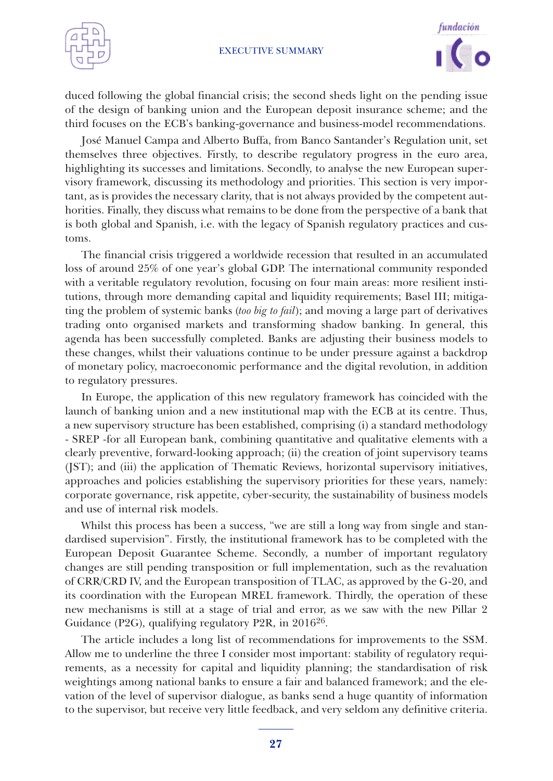



duced following the global financial crisis; the second sheds light on the pending issue of the design of banking union and the European deposit insurance scheme; and the third focuses on the ECB's banking-governance and business-model recommendations.

José Manuel Campa and Alberto Buffa, from Banco Santander's Regulation unit, set themselves three objectives. Firstly, to describe regulatory progress in the euro area, highlighting its successes and limitations. Secondly, to analyse the new European supervisory framework, discussing its methodology and priorities. This section is very important, as is provides the necessary clarity, that is not always provided by the competent authorities. Finally, they discuss what remains to be done from the perspective of a bank that is both global and Spanish, i.e. with the legacy of Spanish regulatory practices and customs.

The financial crisis triggered a worldwide recession that resulted in an accumulated loss of around 25% of one year's global GDP. The international community responded with a veritable regulatory revolution, focusing on four main areas: more resilient institutions, through more demanding capital and liquidity requirements; Basel III; mitigating the problem of systemic banks (*too big to fail*); and moving a large part of derivatives trading onto organised markets and transforming shadow banking. In general, this agenda has been successfully completed. Banks are adjusting their business models to these changes, whilst their valuations continue to be under pressure against a backdrop of monetary policy, macroeconomic performance and the digital revolution, in addition to regulatory pressures.

In Europe, the application of this new regulatory framework has coincided with the launch of banking union and a new institutional map with the ECB at its centre. Thus, a new supervisory structure has been established, comprising (i) a standard methodology - SREP -for all European bank, combining quantitative and qualitative elements with a clearly preventive, forward-looking approach; (ii) the creation of joint supervisory teams (JST); and (iii) the application of Thematic Reviews, horizontal supervisory initiatives, approaches and policies establishing the supervisory priorities for these years, namely: corporate governance, risk appetite, cyber-security, the sustainability of business models and use of internal risk models.

Whilst this process has been a success, "we are still a long way from single and standardised supervision". Firstly, the institutional framework has to be completed with the European Deposit Guarantee Scheme. Secondly, a number of important regulatory changes are still pending transposition or full implementation, such as the revaluation of CRR/CRD IV, and the European transposition of TLAC, as approved by the G-20, and its coordination with the European MREL framework. Thirdly, the operation of these new mechanisms is still at a stage of trial and error, as we saw with the new Pillar 2 Guidance (P2G), qualifying regulatory P2R, in 2016<sup>26</sup>.

The article includes a long list of recommendations for improvements to the SSM. Allow me to underline the three I consider most important: stability of regulatory requirements, as a necessity for capital and liquidity planning; the standardisation of risk weightings among national banks to ensure a fair and balanced framework; and the elevation of the level of supervisor dialogue, as banks send a huge quantity of information to the supervisor, but receive very little feedback, and very seldom any definitive criteria.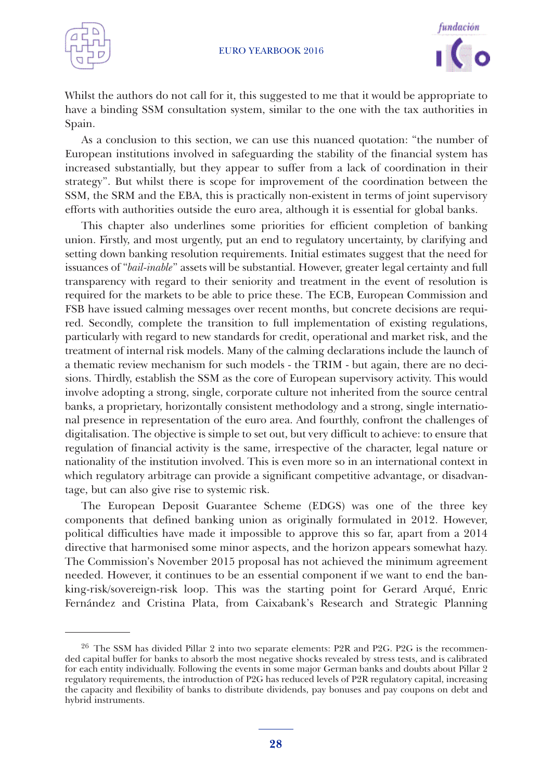



Whilst the authors do not call for it, this suggested to me that it would be appropriate to have a binding SSM consultation system, similar to the one with the tax authorities in Spain.

As a conclusion to this section, we can use this nuanced quotation: "the number of European institutions involved in safeguarding the stability of the financial system has increased substantially, but they appear to suffer from a lack of coordination in their strategy". But whilst there is scope for improvement of the coordination between the SSM, the SRM and the EBA, this is practically non-existent in terms of joint supervisory efforts with authorities outside the euro area, although it is essential for global banks.

This chapter also underlines some priorities for efficient completion of banking union. Firstly, and most urgently, put an end to regulatory uncertainty, by clarifying and setting down banking resolution requirements. Initial estimates suggest that the need for issuances of "*bail-inable*" assets will be substantial. However, greater legal certainty and full transparency with regard to their seniority and treatment in the event of resolution is required for the markets to be able to price these. The ECB, European Commission and FSB have issued calming messages over recent months, but concrete decisions are required. Secondly, complete the transition to full implementation of existing regulations, particularly with regard to new standards for credit, operational and market risk, and the treatment of internal risk models. Many of the calming declarations include the launch of a thematic review mechanism for such models - the TRIM - but again, there are no decisions. Thirdly, establish the SSM as the core of European supervisory activity. This would involve adopting a strong, single, corporate culture not inherited from the source central banks, a proprietary, horizontally consistent methodology and a strong, single international presence in representation of the euro area. And fourthly, confront the challenges of digitalisation. The objective is simple to set out, but very difficult to achieve: to ensure that regulation of financial activity is the same, irrespective of the character, legal nature or nationality of the institution involved. This is even more so in an international context in which regulatory arbitrage can provide a significant competitive advantage, or disadvantage, but can also give rise to systemic risk.

The European Deposit Guarantee Scheme (EDGS) was one of the three key components that defined banking union as originally formulated in 2012. However, political difficulties have made it impossible to approve this so far, apart from a 2014 directive that harmonised some minor aspects, and the horizon appears somewhat hazy. The Commission's November 2015 proposal has not achieved the minimum agreement needed. However, it continues to be an essential component if we want to end the banking-risk/sovereign-risk loop. This was the starting point for Gerard Arqué, Enric Fernández and Cristina Plata, from Caixabank's Research and Strategic Planning

<sup>&</sup>lt;sup>26</sup> The SSM has divided Pillar 2 into two separate elements: P2R and P2G. P2G is the recommended capital buffer for banks to absorb the most negative shocks revealed by stress tests, and is calibrated for each entity individually. Following the events in some major German banks and doubts about Pillar 2 regulatory requirements, the introduction of P2G has reduced levels of P2R regulatory capital, increasing the capacity and flexibility of banks to distribute dividends, pay bonuses and pay coupons on debt and hybrid instruments.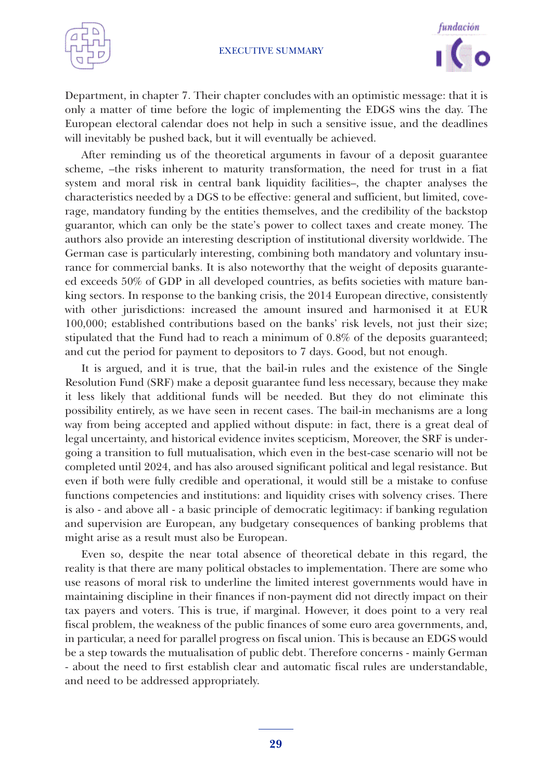



Department, in chapter 7. Their chapter concludes with an optimistic message: that it is only a matter of time before the logic of implementing the EDGS wins the day. The European electoral calendar does not help in such a sensitive issue, and the deadlines will inevitably be pushed back, but it will eventually be achieved.

After reminding us of the theoretical arguments in favour of a deposit guarantee scheme, –the risks inherent to maturity transformation, the need for trust in a fiat system and moral risk in central bank liquidity facilities–, the chapter analyses the characteristics needed by a DGS to be effective: general and sufficient, but limited, coverage, mandatory funding by the entities themselves, and the credibility of the backstop guarantor, which can only be the state's power to collect taxes and create money. The authors also provide an interesting description of institutional diversity worldwide. The German case is particularly interesting, combining both mandatory and voluntary insurance for commercial banks. It is also noteworthy that the weight of deposits guaranteed exceeds 50% of GDP in all developed countries, as befits societies with mature banking sectors. In response to the banking crisis, the 2014 European directive, consistently with other jurisdictions: increased the amount insured and harmonised it at EUR 100,000; established contributions based on the banks' risk levels, not just their size; stipulated that the Fund had to reach a minimum of 0.8% of the deposits guaranteed; and cut the period for payment to depositors to 7 days. Good, but not enough.

It is argued, and it is true, that the bail-in rules and the existence of the Single Resolution Fund (SRF) make a deposit guarantee fund less necessary, because they make it less likely that additional funds will be needed. But they do not eliminate this possibility entirely, as we have seen in recent cases. The bail-in mechanisms are a long way from being accepted and applied without dispute: in fact, there is a great deal of legal uncertainty, and historical evidence invites scepticism, Moreover, the SRF is undergoing a transition to full mutualisation, which even in the best-case scenario will not be completed until 2024, and has also aroused significant political and legal resistance. But even if both were fully credible and operational, it would still be a mistake to confuse functions competencies and institutions: and liquidity crises with solvency crises. There is also - and above all - a basic principle of democratic legitimacy: if banking regulation and supervision are European, any budgetary consequences of banking problems that might arise as a result must also be European.

Even so, despite the near total absence of theoretical debate in this regard, the reality is that there are many political obstacles to implementation. There are some who use reasons of moral risk to underline the limited interest governments would have in maintaining discipline in their finances if non-payment did not directly impact on their tax payers and voters. This is true, if marginal. However, it does point to a very real fiscal problem, the weakness of the public finances of some euro area governments, and, in particular, a need for parallel progress on fiscal union. This is because an EDGS would be a step towards the mutualisation of public debt. Therefore concerns - mainly German - about the need to first establish clear and automatic fiscal rules are understandable, and need to be addressed appropriately.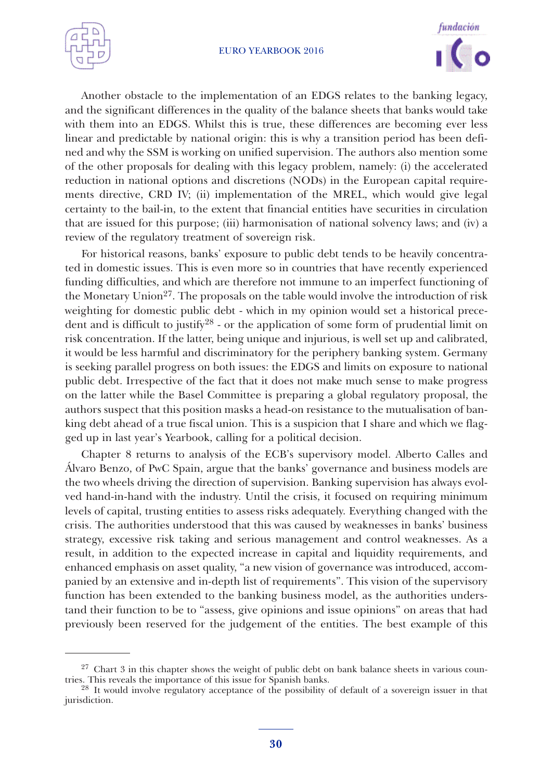



Another obstacle to the implementation of an EDGS relates to the banking legacy, and the significant differences in the quality of the balance sheets that banks would take with them into an EDGS. Whilst this is true, these differences are becoming ever less linear and predictable by national origin: this is why a transition period has been defined and why the SSM is working on unified supervision. The authors also mention some of the other proposals for dealing with this legacy problem, namely: (i) the accelerated reduction in national options and discretions (NODs) in the European capital requirements directive, CRD IV; (ii) implementation of the MREL, which would give legal certainty to the bail-in, to the extent that financial entities have securities in circulation that are issued for this purpose; (iii) harmonisation of national solvency laws; and (iv) a review of the regulatory treatment of sovereign risk.

For historical reasons, banks' exposure to public debt tends to be heavily concentrated in domestic issues. This is even more so in countries that have recently experienced funding difficulties, and which are therefore not immune to an imperfect functioning of the Monetary Union<sup>27</sup>. The proposals on the table would involve the introduction of risk weighting for domestic public debt - which in my opinion would set a historical precedent and is difficult to justify<sup>28</sup> - or the application of some form of prudential limit on risk concentration. If the latter, being unique and injurious, is well set up and calibrated, it would be less harmful and discriminatory for the periphery banking system. Germany is seeking parallel progress on both issues: the EDGS and limits on exposure to national public debt. Irrespective of the fact that it does not make much sense to make progress on the latter while the Basel Committee is preparing a global regulatory proposal, the authors suspect that this position masks a head-on resistance to the mutualisation of banking debt ahead of a true fiscal union. This is a suspicion that I share and which we flagged up in last year's Yearbook, calling for a political decision.

Chapter 8 returns to analysis of the ECB's supervisory model. Alberto Calles and Álvaro Benzo, of PwC Spain, argue that the banks' governance and business models are the two wheels driving the direction of supervision. Banking supervision has always evolved hand-in-hand with the industry. Until the crisis, it focused on requiring minimum levels of capital, trusting entities to assess risks adequately. Everything changed with the crisis. The authorities understood that this was caused by weaknesses in banks' business strategy, excessive risk taking and serious management and control weaknesses. As a result, in addition to the expected increase in capital and liquidity requirements, and enhanced emphasis on asset quality, "a new vision of governance was introduced, accompanied by an extensive and in-depth list of requirements". This vision of the supervisory function has been extended to the banking business model, as the authorities understand their function to be to "assess, give opinions and issue opinions" on areas that had previously been reserved for the judgement of the entities. The best example of this

 $27$  Chart 3 in this chapter shows the weight of public debt on bank balance sheets in various countries. This reveals the importance of this issue for Spanish banks.<br><sup>28</sup> It would involve regulatory acceptance of the possibility of default of a sovereign issuer in that

jurisdiction.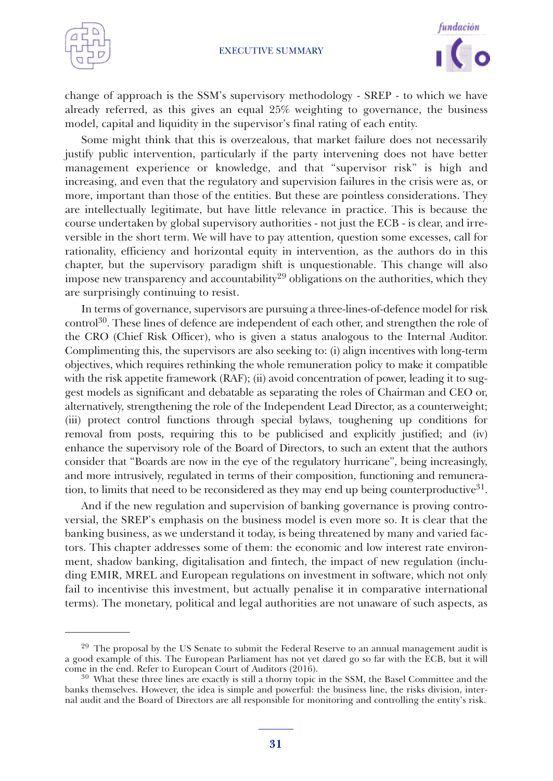



change of approach is the SSM's supervisory methodology - SREP - to which we have already referred, as this gives an equal 25% weighting to governance, the business model, capital and liquidity in the supervisor's final rating of each entity.

Some might think that this is overzealous, that market failure does not necessarily justify public intervention, particularly if the party intervening does not have better management experience or knowledge, and that "supervisor risk" is high and increasing, and even that the regulatory and supervision failures in the crisis were as, or more, important than those of the entities. But these are pointless considerations. They are intellectually legitimate, but have little relevance in practice. This is because the course undertaken by global supervisory authorities - not just the ECB - is clear, and irreversible in the short term. We will have to pay attention, question some excesses, call for rationality, efficiency and horizontal equity in intervention, as the authors do in this chapter, but the supervisory paradigm shift is unquestionable. This change will also impose new transparency and accountability<sup>29</sup> obligations on the authorities, which they are surprisingly continuing to resist.

In terms of governance, supervisors are pursuing a three-lines-of-defence model for risk control 30. These lines of defence are independent of each other, and strengthen the role of the CRO (Chief Risk Officer), who is given a status analogous to the Internal Auditor. Complimenting this, the supervisors are also seeking to: (i) align incentives with long-term objectives, which requires rethinking the whole remuneration policy to make it compatible with the risk appetite framework (RAF); (ii) avoid concentration of power, leading it to suggest models as significant and debatable as separating the roles of Chairman and CEO or, alternatively, strengthening the role of the Independent Lead Director, as a counterweight; (iii) protect control functions through special bylaws, toughening up conditions for removal from posts, requiring this to be publicised and explicitly justified; and (iv) enhance the supervisory role of the Board of Directors, to such an extent that the authors consider that "Boards are now in the eye of the regulatory hurricane", being increasingly, and more intrusively, regulated in terms of their composition, functioning and remuneration, to limits that need to be reconsidered as they may end up being counterproductive $31$ .

And if the new regulation and supervision of banking governance is proving controversial, the SREP's emphasis on the business model is even more so. It is clear that the banking business, as we understand it today, is being threatened by many and varied factors. This chapter addresses some of them: the economic and low interest rate environment, shadow banking, digitalisation and fintech, the impact of new regulation (including EMIR, MREL and European regulations on investment in software, which not only fail to incentivise this investment, but actually penalise it in comparative international terms). The monetary, political and legal authorities are not unaware of such aspects, as

 $29$  The proposal by the US Senate to submit the Federal Reserve to an annual management audit is a good example of this. The European Parliament has not yet dared go so far with the ECB, but it will come in the end. Refer to European Court of Auditors (2016). <sup>30</sup> What these three lines are exactly is still <sup>a</sup> thorny topic in the SSM, the Basel Committee and the

banks themselves. However, the idea is simple and powerful: the business line, the risks division, internal audit and the Board of Directors are all responsible for monitoring and controlling the entity's risk.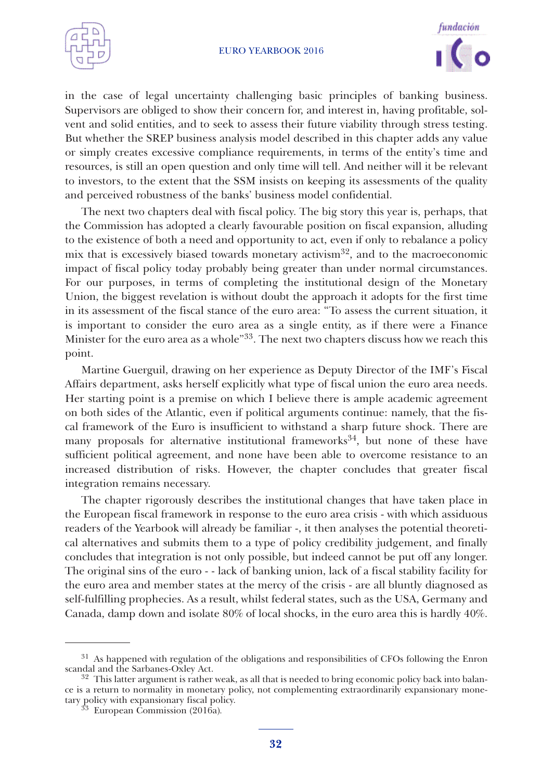



in the case of legal uncertainty challenging basic principles of banking business. Supervisors are obliged to show their concern for, and interest in, having profitable, solvent and solid entities, and to seek to assess their future viability through stress testing. But whether the SREP business analysis model described in this chapter adds any value or simply creates excessive compliance requirements, in terms of the entity's time and resources, is still an open question and only time will tell. And neither will it be relevant to investors, to the extent that the SSM insists on keeping its assessments of the quality and perceived robustness of the banks' business model confidential.

The next two chapters deal with fiscal policy. The big story this year is, perhaps, that the Commission has adopted a clearly favourable position on fiscal expansion, alluding to the existence of both a need and opportunity to act, even if only to rebalance a policy mix that is excessively biased towards monetary activism32, and to the macroeconomic impact of fiscal policy today probably being greater than under normal circumstances. For our purposes, in terms of completing the institutional design of the Monetary Union, the biggest revelation is without doubt the approach it adopts for the first time in its assessment of the fiscal stance of the euro area: "To assess the current situation, it is important to consider the euro area as a single entity, as if there were a Finance Minister for the euro area as a whole"<sup>33</sup>. The next two chapters discuss how we reach this point.

Martine Guerguil, drawing on her experience as Deputy Director of the IMF's Fiscal Affairs department, asks herself explicitly what type of fiscal union the euro area needs. Her starting point is a premise on which I believe there is ample academic agreement on both sides of the Atlantic, even if political arguments continue: namely, that the fiscal framework of the Euro is insufficient to withstand a sharp future shock. There are many proposals for alternative institutional frameworks<sup>34</sup>, but none of these have sufficient political agreement, and none have been able to overcome resistance to an increased distribution of risks. However, the chapter concludes that greater fiscal integration remains necessary.

The chapter rigorously describes the institutional changes that have taken place in the European fiscal framework in response to the euro area crisis - with which assiduous readers of the Yearbook will already be familiar -, it then analyses the potential theoretical alternatives and submits them to a type of policy credibility judgement, and finally concludes that integration is not only possible, but indeed cannot be put off any longer. The original sins of the euro - - lack of banking union, lack of a fiscal stability facility for the euro area and member states at the mercy of the crisis - are all bluntly diagnosed as self-fulfilling prophecies. As a result, whilst federal states, such as the USA, Germany and Canada, damp down and isolate 80% of local shocks, in the euro area this is hardly 40%.

<sup>&</sup>lt;sup>31</sup> As happened with regulation of the obligations and responsibilities of CFOs following the Enron scandal and the Sarbanes-Oxley Act.<br><sup>32</sup> This latter argument is rather weak, as all that is needed to bring economic policy back into balan-

ce is a return to normality in monetary policy, not complementing extraordinarily expansionary monetary policy with expansionary fiscal policy. <sup>33</sup> European Commission (2016a)*.*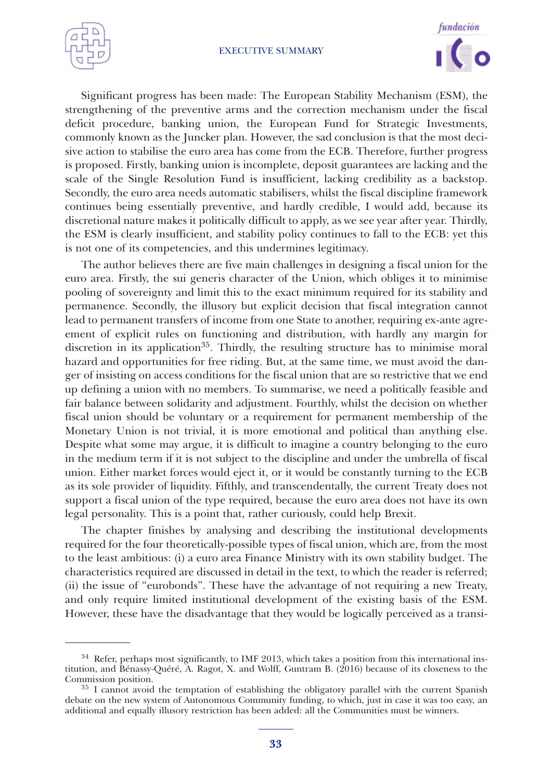



Significant progress has been made: The European Stability Mechanism (ESM), the strengthening of the preventive arms and the correction mechanism under the fiscal deficit procedure, banking union, the European Fund for Strategic Investments, commonly known as the Juncker plan. However, the sad conclusion is that the most decisive action to stabilise the euro area has come from the ECB. Therefore, further progress is proposed. Firstly, banking union is incomplete, deposit guarantees are lacking and the scale of the Single Resolution Fund is insufficient, lacking credibility as a backstop. Secondly, the euro area needs automatic stabilisers, whilst the fiscal discipline framework continues being essentially preventive, and hardly credible, I would add, because its discretional nature makes it politically difficult to apply, as we see year after year. Thirdly, the ESM is clearly insufficient, and stability policy continues to fall to the ECB: yet this is not one of its competencies, and this undermines legitimacy.

The author believes there are five main challenges in designing a fiscal union for the euro area. Firstly, the sui generis character of the Union, which obliges it to minimise pooling of sovereignty and limit this to the exact minimum required for its stability and permanence. Secondly, the illusory but explicit decision that fiscal integration cannot lead to permanent transfers of income from one State to another, requiring ex-ante agreement of explicit rules on functioning and distribution, with hardly any margin for discretion in its application<sup>35</sup>. Thirdly, the resulting structure has to minimise moral hazard and opportunities for free riding. But, at the same time, we must avoid the danger of insisting on access conditions for the fiscal union that are so restrictive that we end up defining a union with no members. To summarise, we need a politically feasible and fair balance between solidarity and adjustment. Fourthly, whilst the decision on whether fiscal union should be voluntary or a requirement for permanent membership of the Monetary Union is not trivial, it is more emotional and political than anything else. Despite what some may argue, it is difficult to imagine a country belonging to the euro in the medium term if it is not subject to the discipline and under the umbrella of fiscal union. Either market forces would eject it, or it would be constantly turning to the ECB as its sole provider of liquidity. Fifthly, and transcendentally, the current Treaty does not support a fiscal union of the type required, because the euro area does not have its own legal personality. This is a point that, rather curiously, could help Brexit.

The chapter finishes by analysing and describing the institutional developments required for the four theoretically-possible types of fiscal union, which are, from the most to the least ambitious: (i) a euro area Finance Ministry with its own stability budget. The characteristics required are discussed in detail in the text, to which the reader is referred; (ii) the issue of "eurobonds". These have the advantage of not requiring a new Treaty, and only require limited institutional development of the existing basis of the ESM. However, these have the disadvantage that they would be logically perceived as a transi-

 $34$  Refer, perhaps most significantly, to IMF 2013, which takes a position from this international institution, and Bénassy-Quéré, A. Ragot, X. and Wolff, Guntram B. (2016) because of its closeness to the Commission position.<br><sup>35</sup> I cannot avoid the temptation of establishing the obligatory parallel with the current Spanish

debate on the new system of Autonomous Community funding, to which, just in case it was too easy, an additional and equally illusory restriction has been added: all the Communities must be winners.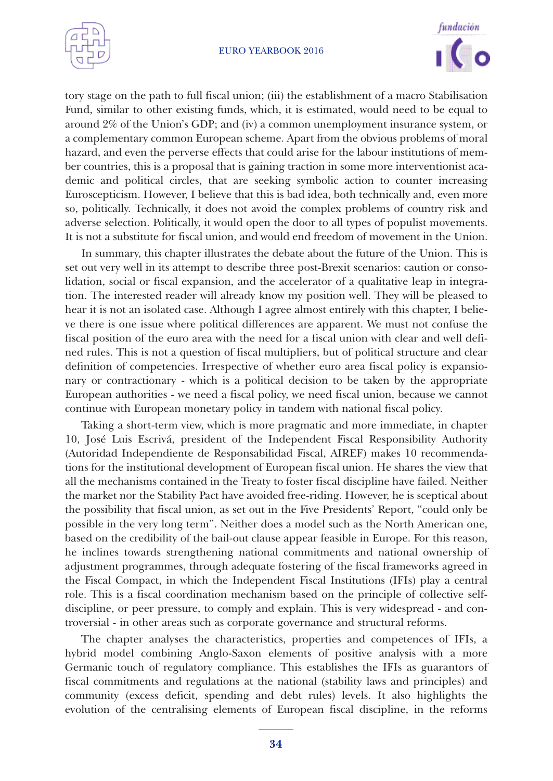



tory stage on the path to full fiscal union; (iii) the establishment of a macro Stabilisation Fund, similar to other existing funds, which, it is estimated, would need to be equal to around 2% of the Union's GDP; and (iv) a common unemployment insurance system, or a complementary common European scheme. Apart from the obvious problems of moral hazard, and even the perverse effects that could arise for the labour institutions of member countries, this is a proposal that is gaining traction in some more interventionist academic and political circles, that are seeking symbolic action to counter increasing Euroscepticism. However, I believe that this is bad idea, both technically and, even more so, politically. Technically, it does not avoid the complex problems of country risk and adverse selection. Politically, it would open the door to all types of populist movements. It is not a substitute for fiscal union, and would end freedom of movement in the Union.

In summary, this chapter illustrates the debate about the future of the Union. This is set out very well in its attempt to describe three post-Brexit scenarios: caution or consolidation, social or fiscal expansion, and the accelerator of a qualitative leap in integration. The interested reader will already know my position well. They will be pleased to hear it is not an isolated case. Although I agree almost entirely with this chapter, I believe there is one issue where political differences are apparent. We must not confuse the fiscal position of the euro area with the need for a fiscal union with clear and well defined rules. This is not a question of fiscal multipliers, but of political structure and clear definition of competencies. Irrespective of whether euro area fiscal policy is expansionary or contractionary - which is a political decision to be taken by the appropriate European authorities - we need a fiscal policy, we need fiscal union, because we cannot continue with European monetary policy in tandem with national fiscal policy.

Taking a short-term view, which is more pragmatic and more immediate, in chapter 10, José Luis Escrivá, president of the Independent Fiscal Responsibility Authority (Autoridad Independiente de Responsabilidad Fiscal, AIREF) makes 10 recommendations for the institutional development of European fiscal union. He shares the view that all the mechanisms contained in the Treaty to foster fiscal discipline have failed. Neither the market nor the Stability Pact have avoided free-riding. However, he is sceptical about the possibility that fiscal union, as set out in the Five Presidents' Report, "could only be possible in the very long term". Neither does a model such as the North American one, based on the credibility of the bail-out clause appear feasible in Europe. For this reason, he inclines towards strengthening national commitments and national ownership of adjustment programmes, through adequate fostering of the fiscal frameworks agreed in the Fiscal Compact, in which the Independent Fiscal Institutions (IFIs) play a central role. This is a fiscal coordination mechanism based on the principle of collective selfdiscipline, or peer pressure, to comply and explain. This is very widespread - and controversial - in other areas such as corporate governance and structural reforms.

The chapter analyses the characteristics, properties and competences of IFIs, a hybrid model combining Anglo-Saxon elements of positive analysis with a more Germanic touch of regulatory compliance. This establishes the IFIs as guarantors of fiscal commitments and regulations at the national (stability laws and principles) and community (excess deficit, spending and debt rules) levels. It also highlights the evolution of the centralising elements of European fiscal discipline, in the reforms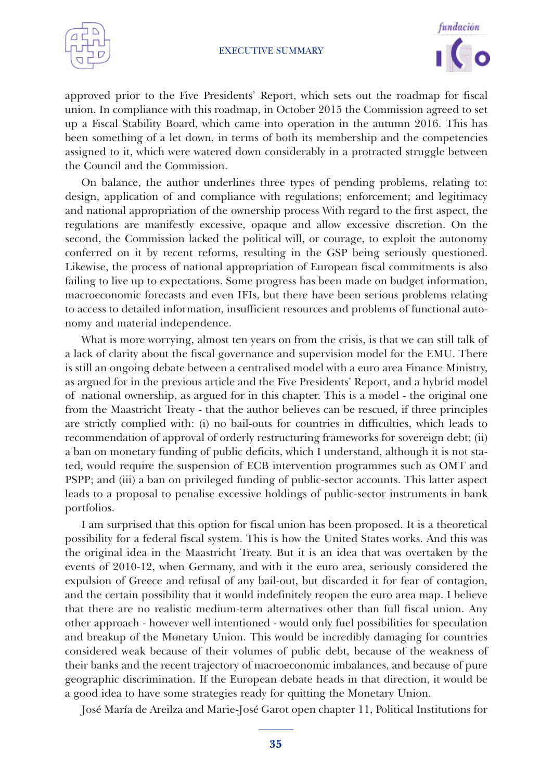



approved prior to the Five Presidents' Report, which sets out the roadmap for fiscal union. In compliance with this roadmap, in October 2015 the Commission agreed to set up a Fiscal Stability Board, which came into operation in the autumn 2016. This has been something of a let down, in terms of both its membership and the competencies assigned to it, which were watered down considerably in a protracted struggle between the Council and the Commission.

On balance, the author underlines three types of pending problems, relating to: design, application of and compliance with regulations; enforcement; and legitimacy and national appropriation of the ownership process With regard to the first aspect, the regulations are manifestly excessive, opaque and allow excessive discretion. On the second, the Commission lacked the political will, or courage, to exploit the autonomy conferred on it by recent reforms, resulting in the GSP being seriously questioned. Likewise, the process of national appropriation of European fiscal commitments is also failing to live up to expectations. Some progress has been made on budget information, macroeconomic forecasts and even IFIs, but there have been serious problems relating to access to detailed information, insufficient resources and problems of functional autonomy and material independence.

What is more worrying, almost ten years on from the crisis, is that we can still talk of a lack of clarity about the fiscal governance and supervision model for the EMU. There is still an ongoing debate between a centralised model with a euro area Finance Ministry, as argued for in the previous article and the Five Presidents' Report, and a hybrid model of national ownership, as argued for in this chapter. This is a model - the original one from the Maastricht Treaty - that the author believes can be rescued, if three principles are strictly complied with: (i) no bail-outs for countries in difficulties, which leads to recommendation of approval of orderly restructuring frameworks for sovereign debt; (ii) a ban on monetary funding of public deficits, which I understand, although it is not stated, would require the suspension of ECB intervention programmes such as OMT and PSPP; and (iii) a ban on privileged funding of public-sector accounts. This latter aspect leads to a proposal to penalise excessive holdings of public-sector instruments in bank portfolios.

I am surprised that this option for fiscal union has been proposed. It is a theoretical possibility for a federal fiscal system. This is how the United States works. And this was the original idea in the Maastricht Treaty. But it is an idea that was overtaken by the events of 2010-12, when Germany, and with it the euro area, seriously considered the expulsion of Greece and refusal of any bail-out, but discarded it for fear of contagion, and the certain possibility that it would indefinitely reopen the euro area map. I believe that there are no realistic medium-term alternatives other than full fiscal union. Any other approach - however well intentioned - would only fuel possibilities for speculation and breakup of the Monetary Union. This would be incredibly damaging for countries considered weak because of their volumes of public debt, because of the weakness of their banks and the recent trajectory of macroeconomic imbalances, and because of pure geographic discrimination. If the European debate heads in that direction, it would be a good idea to have some strategies ready for quitting the Monetary Union.

José María de Areilza and Marie-José Garot open chapter 11, Political Institutions for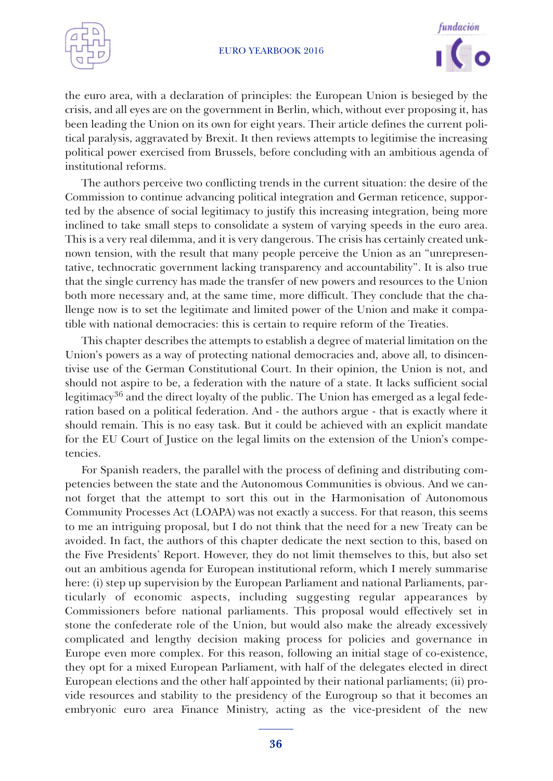



the euro area, with a declaration of principles: the European Union is besieged by the crisis, and all eyes are on the government in Berlin, which, without ever proposing it, has been leading the Union on its own for eight years. Their article defines the current political paralysis, aggravated by Brexit. It then reviews attempts to legitimise the increasing political power exercised from Brussels, before concluding with an ambitious agenda of institutional reforms.

The authors perceive two conflicting trends in the current situation: the desire of the Commission to continue advancing political integration and German reticence, supported by the absence of social legitimacy to justify this increasing integration, being more inclined to take small steps to consolidate a system of varying speeds in the euro area. This is a very real dilemma, and it is very dangerous. The crisis has certainly created unknown tension, with the result that many people perceive the Union as an "unrepresentative, technocratic government lacking transparency and accountability". It is also true that the single currency has made the transfer of new powers and resources to the Union both more necessary and, at the same time, more difficult. They conclude that the challenge now is to set the legitimate and limited power of the Union and make it compatible with national democracies: this is certain to require reform of the Treaties.

This chapter describes the attempts to establish a degree of material limitation on the Union's powers as a way of protecting national democracies and, above all, to disincentivise use of the German Constitutional Court. In their opinion, the Union is not, and should not aspire to be, a federation with the nature of a state. It lacks sufficient social legitimacy<sup>36</sup> and the direct loyalty of the public. The Union has emerged as a legal federation based on a political federation. And - the authors argue - that is exactly where it should remain. This is no easy task. But it could be achieved with an explicit mandate for the EU Court of Justice on the legal limits on the extension of the Union's competencies.

For Spanish readers, the parallel with the process of defining and distributing competencies between the state and the Autonomous Communities is obvious. And we cannot forget that the attempt to sort this out in the Harmonisation of Autonomous Community Processes Act (LOAPA) was not exactly a success. For that reason, this seems to me an intriguing proposal, but I do not think that the need for a new Treaty can be avoided. In fact, the authors of this chapter dedicate the next section to this, based on the Five Presidents' Report. However, they do not limit themselves to this, but also set out an ambitious agenda for European institutional reform, which I merely summarise here: (i) step up supervision by the European Parliament and national Parliaments, particularly of economic aspects, including suggesting regular appearances by Commissioners before national parliaments. This proposal would effectively set in stone the confederate role of the Union, but would also make the already excessively complicated and lengthy decision making process for policies and governance in Europe even more complex. For this reason, following an initial stage of co-existence, they opt for a mixed European Parliament, with half of the delegates elected in direct European elections and the other half appointed by their national parliaments; (ii) provide resources and stability to the presidency of the Eurogroup so that it becomes an embryonic euro area Finance Ministry, acting as the vice-president of the new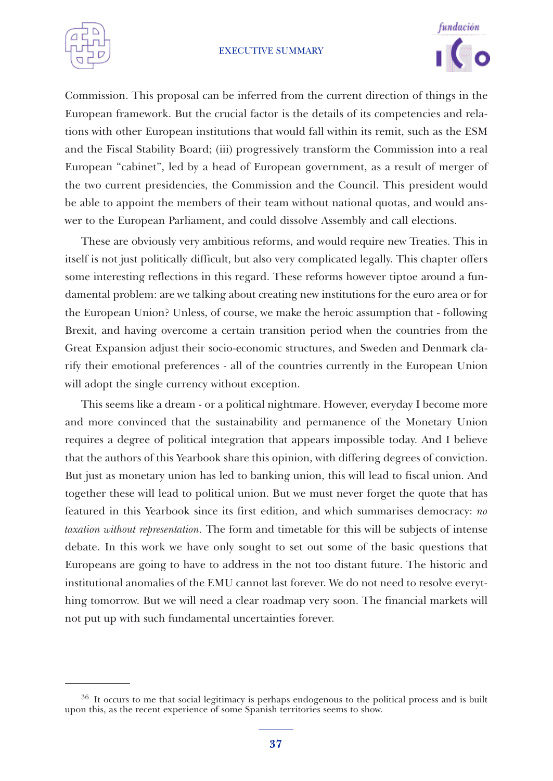



Commission. This proposal can be inferred from the current direction of things in the European framework. But the crucial factor is the details of its competencies and relations with other European institutions that would fall within its remit, such as the ESM and the Fiscal Stability Board; (iii) progressively transform the Commission into a real European "cabinet", led by a head of European government, as a result of merger of the two current presidencies, the Commission and the Council. This president would be able to appoint the members of their team without national quotas, and would answer to the European Parliament, and could dissolve Assembly and call elections.

These are obviously very ambitious reforms, and would require new Treaties. This in itself is not just politically difficult, but also very complicated legally. This chapter offers some interesting reflections in this regard. These reforms however tiptoe around a fundamental problem: are we talking about creating new institutions for the euro area or for the European Union? Unless, of course, we make the heroic assumption that - following Brexit, and having overcome a certain transition period when the countries from the Great Expansion adjust their socio-economic structures, and Sweden and Denmark clarify their emotional preferences - all of the countries currently in the European Union will adopt the single currency without exception.

This seems like a dream - or a political nightmare. However, everyday I become more and more convinced that the sustainability and permanence of the Monetary Union requires a degree of political integration that appears impossible today. And I believe that the authors of this Yearbook share this opinion, with differing degrees of conviction. But just as monetary union has led to banking union, this will lead to fiscal union. And together these will lead to political union. But we must never forget the quote that has featured in this Yearbook since its first edition, and which summarises democracy: *no taxation without representation.* The form and timetable for this will be subjects of intense debate. In this work we have only sought to set out some of the basic questions that Europeans are going to have to address in the not too distant future. The historic and institutional anomalies of the EMU cannot last forever. We do not need to resolve everything tomorrow. But we will need a clear roadmap very soon. The financial markets will not put up with such fundamental uncertainties forever.

<sup>&</sup>lt;sup>36</sup> It occurs to me that social legitimacy is perhaps endogenous to the political process and is built upon this, as the recent experience of some Spanish territories seems to show.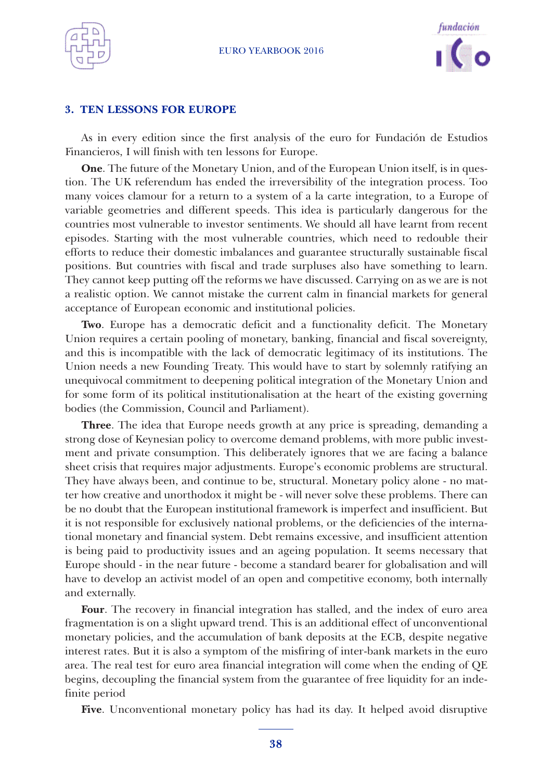



### **3. TEN LESSONS FOR EUROPE**

As in every edition since the first analysis of the euro for Fundación de Estudios Financieros, I will finish with ten lessons for Europe.

**One**. The future of the Monetary Union, and of the European Union itself, is in question. The UK referendum has ended the irreversibility of the integration process. Too many voices clamour for a return to a system of a la carte integration, to a Europe of variable geometries and different speeds. This idea is particularly dangerous for the countries most vulnerable to investor sentiments. We should all have learnt from recent episodes. Starting with the most vulnerable countries, which need to redouble their efforts to reduce their domestic imbalances and guarantee structurally sustainable fiscal positions. But countries with fiscal and trade surpluses also have something to learn. They cannot keep putting off the reforms we have discussed. Carrying on as we are is not a realistic option. We cannot mistake the current calm in financial markets for general acceptance of European economic and institutional policies.

**Two**. Europe has a democratic deficit and a functionality deficit. The Monetary Union requires a certain pooling of monetary, banking, financial and fiscal sovereignty, and this is incompatible with the lack of democratic legitimacy of its institutions. The Union needs a new Founding Treaty. This would have to start by solemnly ratifying an unequivocal commitment to deepening political integration of the Monetary Union and for some form of its political institutionalisation at the heart of the existing governing bodies (the Commission, Council and Parliament).

**Three**. The idea that Europe needs growth at any price is spreading, demanding a strong dose of Keynesian policy to overcome demand problems, with more public investment and private consumption. This deliberately ignores that we are facing a balance sheet crisis that requires major adjustments. Europe's economic problems are structural. They have always been, and continue to be, structural. Monetary policy alone - no matter how creative and unorthodox it might be - will never solve these problems. There can be no doubt that the European institutional framework is imperfect and insufficient. But it is not responsible for exclusively national problems, or the deficiencies of the international monetary and financial system. Debt remains excessive, and insufficient attention is being paid to productivity issues and an ageing population. It seems necessary that Europe should - in the near future - become a standard bearer for globalisation and will have to develop an activist model of an open and competitive economy, both internally and externally.

**Four**. The recovery in financial integration has stalled, and the index of euro area fragmentation is on a slight upward trend. This is an additional effect of unconventional monetary policies, and the accumulation of bank deposits at the ECB, despite negative interest rates. But it is also a symptom of the misfiring of inter-bank markets in the euro area. The real test for euro area financial integration will come when the ending of QE begins, decoupling the financial system from the guarantee of free liquidity for an indefinite period

**Five**. Unconventional monetary policy has had its day. It helped avoid disruptive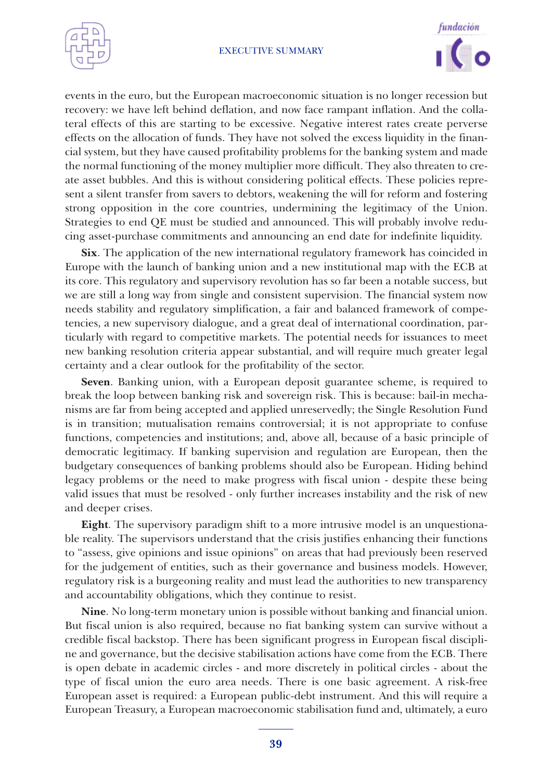



events in the euro, but the European macroeconomic situation is no longer recession but recovery: we have left behind deflation, and now face rampant inflation. And the collateral effects of this are starting to be excessive. Negative interest rates create perverse effects on the allocation of funds. They have not solved the excess liquidity in the financial system, but they have caused profitability problems for the banking system and made the normal functioning of the money multiplier more difficult. They also threaten to create asset bubbles. And this is without considering political effects. These policies represent a silent transfer from savers to debtors, weakening the will for reform and fostering strong opposition in the core countries, undermining the legitimacy of the Union. Strategies to end QE must be studied and announced. This will probably involve reducing asset-purchase commitments and announcing an end date for indefinite liquidity.

**Six**. The application of the new international regulatory framework has coincided in Europe with the launch of banking union and a new institutional map with the ECB at its core. This regulatory and supervisory revolution has so far been a notable success, but we are still a long way from single and consistent supervision. The financial system now needs stability and regulatory simplification, a fair and balanced framework of competencies, a new supervisory dialogue, and a great deal of international coordination, particularly with regard to competitive markets. The potential needs for issuances to meet new banking resolution criteria appear substantial, and will require much greater legal certainty and a clear outlook for the profitability of the sector.

**Seven**. Banking union, with a European deposit guarantee scheme, is required to break the loop between banking risk and sovereign risk. This is because: bail-in mechanisms are far from being accepted and applied unreservedly; the Single Resolution Fund is in transition; mutualisation remains controversial; it is not appropriate to confuse functions, competencies and institutions; and, above all, because of a basic principle of democratic legitimacy. If banking supervision and regulation are European, then the budgetary consequences of banking problems should also be European. Hiding behind legacy problems or the need to make progress with fiscal union - despite these being valid issues that must be resolved - only further increases instability and the risk of new and deeper crises.

**Eight**. The supervisory paradigm shift to a more intrusive model is an unquestionable reality. The supervisors understand that the crisis justifies enhancing their functions to "assess, give opinions and issue opinions" on areas that had previously been reserved for the judgement of entities, such as their governance and business models. However, regulatory risk is a burgeoning reality and must lead the authorities to new transparency and accountability obligations, which they continue to resist.

**Nine**. No long-term monetary union is possible without banking and financial union. But fiscal union is also required, because no fiat banking system can survive without a credible fiscal backstop. There has been significant progress in European fiscal discipline and governance, but the decisive stabilisation actions have come from the ECB. There is open debate in academic circles - and more discretely in political circles - about the type of fiscal union the euro area needs. There is one basic agreement. A risk-free European asset is required: a European public-debt instrument. And this will require a European Treasury, a European macroeconomic stabilisation fund and, ultimately, a euro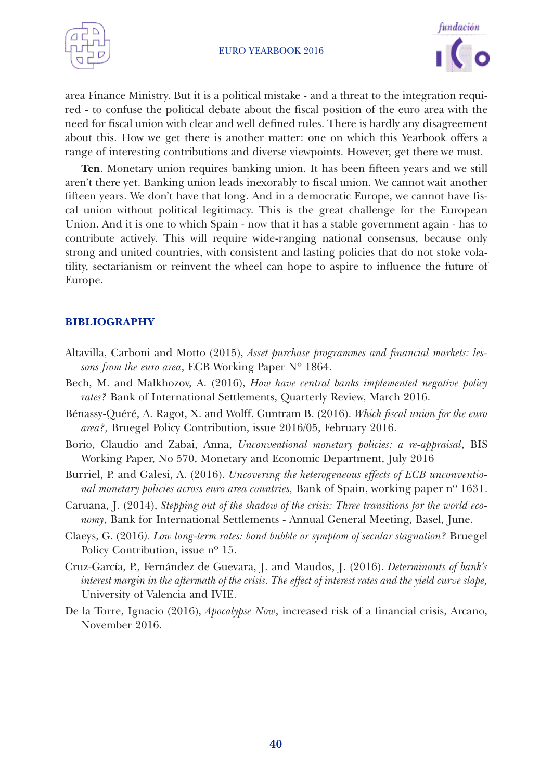



area Finance Ministry. But it is a political mistake - and a threat to the integration required - to confuse the political debate about the fiscal position of the euro area with the need for fiscal union with clear and well defined rules. There is hardly any disagreement about this. How we get there is another matter: one on which this Yearbook offers a range of interesting contributions and diverse viewpoints. However, get there we must.

**Ten**. Monetary union requires banking union. It has been fifteen years and we still aren't there yet. Banking union leads inexorably to fiscal union. We cannot wait another fifteen years. We don't have that long. And in a democratic Europe, we cannot have fiscal union without political legitimacy. This is the great challenge for the European Union. And it is one to which Spain - now that it has a stable government again - has to contribute actively. This will require wide-ranging national consensus, because only strong and united countries, with consistent and lasting policies that do not stoke volatility, sectarianism or reinvent the wheel can hope to aspire to influence the future of Europe.

## **BIBLIOGRAPHY**

- Altavilla, Carboni and Motto (2015), *Asset purchase programmes and financial markets: lessons from the euro area*, ECB Working Paper Nº 1864.
- Bech, M. and Malkhozov, A. (2016), *How have central banks implemented negative policy rates?* Bank of International Settlements, Quarterly Review, March 2016.
- Bénassy-Quéré, A. Ragot, X. and Wolff. Guntram B. (2016). *Which fiscal union for the euro area?,* Bruegel Policy Contribution, issue 2016/05, February 2016.
- Borio, Claudio and Zabai, Anna, *Unconventional monetary policies: a re-appraisal*, BIS Working Paper, No 570, Monetary and Economic Department, July 2016
- Burriel, P. and Galesi, A. (2016). *Uncovering the heterogeneous effects of ECB unconventional monetary policies across euro area countries,* Bank of Spain, working paper nº 1631.
- Caruana, J. (2014), *Stepping out of the shadow of the crisis: Three transitions for the world economy*, Bank for International Settlements - Annual General Meeting, Basel, June.
- Claeys, G. (2016*). Low long-term rates: bond bubble or symptom of secular stagnation?* Bruegel Policy Contribution, issue nº 15.
- Cruz-García, P., Fernández de Guevara, J. and Maudos, J. (2016). *Determinants of bank's* interest margin in the aftermath of the crisis. The effect of interest rates and the yield curve slope, University of Valencia and IVIE.
- De la Torre, Ignacio (2016), *Apocalypse Now*, increased risk of a financial crisis, Arcano, November 2016.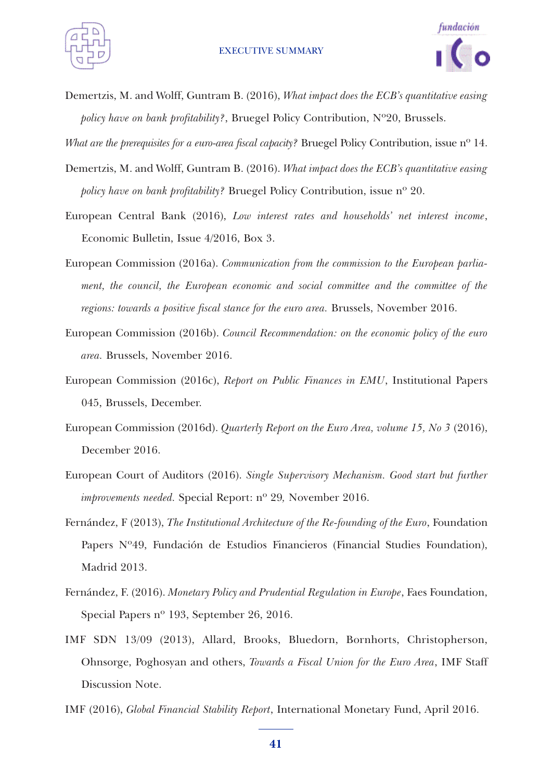



Demertzis, M. and Wolff, Guntram B. (2016), *What impact does the ECB's quantitative easing policy have on bank profitability?*, Bruegel Policy Contribution, Nº20, Brussels.

*What are the prerequisites for a euro-area fiscal capacity?* Bruegel Policy Contribution, issue nº 14.

- Demertzis, M. and Wolff, Guntram B. (2016). *What impact does the ECB's quantitative easing policy have on bank profitability?* Bruegel Policy Contribution, issue nº 20.
- European Central Bank (2016), *Low interest rates and households' net interest income*, Economic Bulletin, Issue 4/2016, Box 3.
- European Commission (2016a). *Communication from the commission to the European parliament, the council, the European economic and social committee and the committee of the regions: towards a positive fiscal stance for the euro area.* Brussels, November 2016.
- European Commission (2016b). *Council Recommendation: on the economic policy of the euro area.* Brussels, November 2016.
- European Commission (2016c), *Report on Public Finances in EMU*, Institutional Papers 045, Brussels, December.
- European Commission (2016d). *Quarterly Report on the Euro Area, volume 15, No 3* (2016), December 2016.
- European Court of Auditors (2016). *Single Supervisory Mechanism. Good start but further improvements needed.* Special Report: nº 29*,* November 2016.
- Fernández, F (2013), *The Institutional Architecture of the Re-founding of the Euro*, Foundation Papers Nº49, Fundación de Estudios Financieros (Financial Studies Foundation), Madrid 2013.
- Fernández, F. (2016). *Monetary Policy and Prudential Regulation in Europe*, Faes Foundation, Special Papers nº 193, September 26, 2016.
- IMF SDN 13/09 (2013), Allard, Brooks, Bluedorn, Bornhorts, Christopherson, Ohnsorge, Poghosyan and others, *Towards a Fiscal Union for the Euro Area*, IMF Staff Discussion Note.
- IMF (2016), *Global Financial Stability Report*, International Monetary Fund, April 2016.